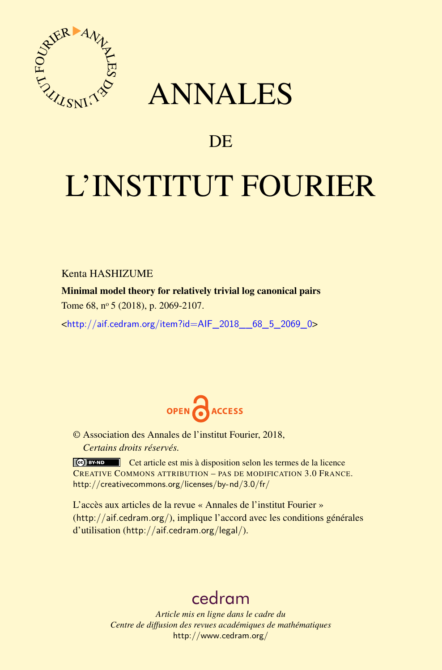<span id="page-0-0"></span>

## ANNALES

### **DE**

# L'INSTITUT FOURIER

Kenta HASHIZUME

Minimal model theory for relatively trivial log canonical pairs Tome 68, nº 5 (2018), p. 2069-2107.

<[http://aif.cedram.org/item?id=AIF\\_2018\\_\\_68\\_5\\_2069\\_0](http://aif.cedram.org/item?id=AIF_2018__68_5_2069_0)>



© Association des Annales de l'institut Fourier, 2018, *Certains droits réservés.*

Cet article est mis à disposition selon les termes de la licence CREATIVE COMMONS ATTRIBUTION – PAS DE MODIFICATION 3.0 FRANCE. <http://creativecommons.org/licenses/by-nd/3.0/fr/>

L'accès aux articles de la revue « Annales de l'institut Fourier » (<http://aif.cedram.org/>), implique l'accord avec les conditions générales d'utilisation (<http://aif.cedram.org/legal/>).

## [cedram](http://www.cedram.org/)

*Article mis en ligne dans le cadre du Centre de diffusion des revues académiques de mathématiques* <http://www.cedram.org/>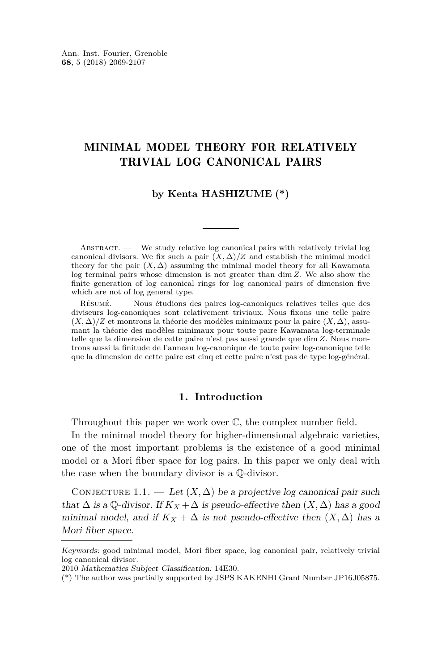#### MINIMAL MODEL THEORY FOR RELATIVELY TRIVIAL LOG CANONICAL PAIRS

#### **by Kenta HASHIZUME (\*)**

ABSTRACT. - We study relative log canonical pairs with relatively trivial log canonical divisors. We fix such a pair  $(X, \Delta)/Z$  and establish the minimal model theory for the pair  $(X, \Delta)$  assuming the minimal model theory for all Kawamata log terminal pairs whose dimension is not greater than dim *Z*. We also show the finite generation of log canonical rings for log canonical pairs of dimension five which are not of log general type.

Résumé. — Nous étudions des paires log-canoniques relatives telles que des diviseurs log-canoniques sont relativement triviaux. Nous fixons une telle paire (*X,* ∆)*/Z* et montrons la théorie des modèles minimaux pour la paire (*X,* ∆), assumant la théorie des modèles minimaux pour toute paire Kawamata log-terminale telle que la dimension de cette paire n'est pas aussi grande que dim *Z*. Nous montrons aussi la finitude de l'anneau log-canonique de toute paire log-canonique telle que la dimension de cette paire est cinq et cette paire n'est pas de type log-général.

#### **1. Introduction**

Throughout this paper we work over C, the complex number field.

In the minimal model theory for higher-dimensional algebraic varieties, one of the most important problems is the existence of a good minimal model or a Mori fiber space for log pairs. In this paper we only deal with the case when the boundary divisor is a Q-divisor.

<span id="page-1-0"></span>CONJECTURE 1.1. — Let  $(X, \Delta)$  be a projective log canonical pair such that  $\Delta$  is a Q-divisor. If  $K_X + \Delta$  is pseudo-effective then  $(X, \Delta)$  has a good minimal model, and if  $K_X + \Delta$  is not pseudo-effective then  $(X, \Delta)$  has a Mori fiber space.

Keywords: good minimal model, Mori fiber space, log canonical pair, relatively trivial log canonical divisor.

<sup>2010</sup> Mathematics Subject Classification: 14E30.

<sup>(\*)</sup> The author was partially supported by JSPS KAKENHI Grant Number JP16J05875.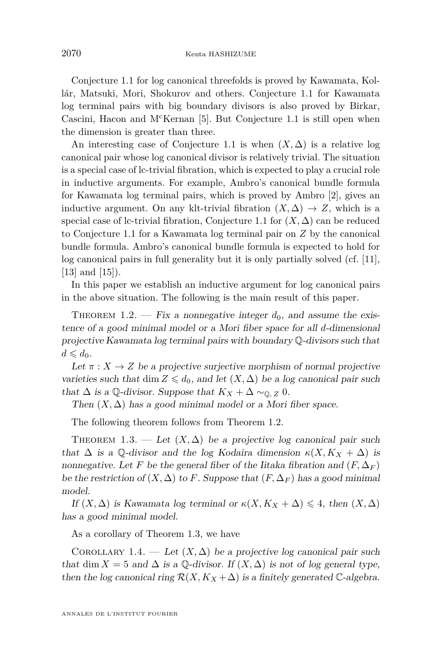Conjecture [1.1](#page-1-0) for log canonical threefolds is proved by Kawamata, Kollár, Matsuki, Mori, Shokurov and others. Conjecture [1.1](#page-1-0) for Kawamata log terminal pairs with big boundary divisors is also proved by Birkar, Cascini, Hacon and M<sup>c</sup>Kernan [\[5\]](#page-38-0). But Conjecture [1.1](#page-1-0) is still open when the dimension is greater than three.

An interesting case of Conjecture [1.1](#page-1-0) is when  $(X, \Delta)$  is a relative log canonical pair whose log canonical divisor is relatively trivial. The situation is a special case of lc-trivial fibration, which is expected to play a crucial role in inductive arguments. For example, Ambro's canonical bundle formula for Kawamata log terminal pairs, which is proved by Ambro [\[2\]](#page-37-0), gives an inductive argument. On any klt-trivial fibration  $(X, \Delta) \rightarrow Z$ , which is a special case of lc-trivial fibration, Conjecture [1.1](#page-1-0) for  $(X, \Delta)$  can be reduced to Conjecture [1.1](#page-1-0) for a Kawamata log terminal pair on *Z* by the canonical bundle formula. Ambro's canonical bundle formula is expected to hold for log canonical pairs in full generality but it is only partially solved (cf. [\[11\]](#page-38-1), [\[13\]](#page-38-2) and [\[15\]](#page-38-3)).

In this paper we establish an inductive argument for log canonical pairs in the above situation. The following is the main result of this paper.

<span id="page-2-0"></span>THEOREM 1.2. — Fix a nonnegative integer  $d_0$ , and assume the existence of a good minimal model or a Mori fiber space for all *d*-dimensional projective Kawamata log terminal pairs with boundary Q-divisors such that  $d \leqslant d_0$ .

Let  $\pi: X \to Z$  be a projective surjective morphism of normal projective varieties such that dim  $Z \leq d_0$ , and let  $(X, \Delta)$  be a log canonical pair such that  $\Delta$  is a Q-divisor. Suppose that  $K_X + \Delta \sim_{\mathbb{Q}, Z} 0$ .

Then  $(X, \Delta)$  has a good minimal model or a Mori fiber space.

The following theorem follows from Theorem [1.2.](#page-2-0)

<span id="page-2-1"></span>THEOREM 1.3. — Let  $(X, \Delta)$  be a projective log canonical pair such that  $\Delta$  is a Q-divisor and the log Kodaira dimension  $\kappa(X, K_X + \Delta)$  is nonnegative. Let *F* be the general fiber of the Iitaka fibration and  $(F, \Delta_F)$ be the restriction of  $(X, \Delta)$  to F. Suppose that  $(F, \Delta_F)$  has a good minimal model.

If  $(X, \Delta)$  is Kawamata log terminal or  $\kappa(X, K_X + \Delta) \leq 4$ , then  $(X, \Delta)$ has a good minimal model.

As a corollary of Theorem [1.3,](#page-2-1) we have

<span id="page-2-2"></span>COROLLARY 1.4. — Let  $(X, \Delta)$  be a projective log canonical pair such that dim  $X = 5$  and  $\Delta$  is a Q-divisor. If  $(X, \Delta)$  is not of log general type, then the log canonical ring  $\mathcal{R}(X, K_X + \Delta)$  is a finitely generated  $\mathbb{C}$ -algebra.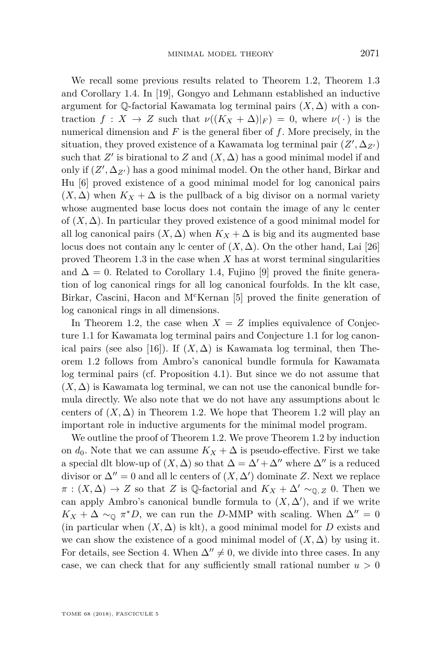We recall some previous results related to Theorem [1.2,](#page-2-0) Theorem [1.3](#page-2-1) and Corollary [1.4.](#page-2-2) In [\[19\]](#page-38-4), Gongyo and Lehmann established an inductive argument for  $\mathbb{Q}$ -factorial Kawamata log terminal pairs  $(X, \Delta)$  with a contraction  $f: X \to Z$  such that  $\nu((K_X + \Delta)|_F) = 0$ , where  $\nu(\cdot)$  is the numerical dimension and *F* is the general fiber of *f*. More precisely, in the situation, they proved existence of a Kawamata log terminal pair  $(Z', \Delta_{Z'})$ such that  $Z'$  is birational to  $Z$  and  $(X, \Delta)$  has a good minimal model if and only if  $(Z', \Delta_{Z'})$  has a good minimal model. On the other hand, Birkar and Hu [\[6\]](#page-38-5) proved existence of a good minimal model for log canonical pairs  $(X, \Delta)$  when  $K_X + \Delta$  is the pullback of a big divisor on a normal variety whose augmented base locus does not contain the image of any lc center of  $(X, \Delta)$ . In particular they proved existence of a good minimal model for all log canonical pairs  $(X, \Delta)$  when  $K_X + \Delta$  is big and its augmented base locus does not contain any lc center of  $(X, \Delta)$ . On the other hand, Lai [\[26\]](#page-39-0) proved Theorem [1.3](#page-2-1) in the case when *X* has at worst terminal singularities and  $\Delta = 0$ . Related to Corollary [1.4,](#page-2-2) Fujino [\[9\]](#page-38-6) proved the finite generation of log canonical rings for all log canonical fourfolds. In the klt case, Birkar, Cascini, Hacon and M<sup>c</sup>Kernan [\[5\]](#page-38-0) proved the finite generation of log canonical rings in all dimensions.

In Theorem [1.2,](#page-2-0) the case when  $X = Z$  implies equivalence of Conjecture [1.1](#page-1-0) for Kawamata log terminal pairs and Conjecture [1.1](#page-1-0) for log canon-ical pairs (see also [\[16\]](#page-38-7)). If  $(X, \Delta)$  is Kawamata log terminal, then Theorem [1.2](#page-2-0) follows from Ambro's canonical bundle formula for Kawamata log terminal pairs (cf. Proposition [4.1\)](#page-17-0). But since we do not assume that  $(X, \Delta)$  is Kawamata log terminal, we can not use the canonical bundle formula directly. We also note that we do not have any assumptions about lc centers of  $(X, \Delta)$  in Theorem [1.2.](#page-2-0) We hope that Theorem [1.2](#page-2-0) will play an important role in inductive arguments for the minimal model program.

We outline the proof of Theorem [1.2.](#page-2-0) We prove Theorem [1.2](#page-2-0) by induction on  $d_0$ . Note that we can assume  $K_X + \Delta$  is pseudo-effective. First we take a special dlt blow-up of  $(X, \Delta)$  so that  $\Delta = \Delta' + \Delta''$  where  $\Delta''$  is a reduced divisor or  $\Delta'' = 0$  and all lc centers of  $(X, \Delta')$  dominate *Z*. Next we replace  $\pi : (X, \Delta) \to Z$  so that *Z* is Q-factorial and  $K_X + \Delta' \sim_{\mathbb{Q}, Z} 0$ . Then we can apply Ambro's canonical bundle formula to  $(X, \Delta')$ , and if we write  $K_X + \Delta \sim_{\mathbb{Q}} \pi^* D$ , we can run the *D*-MMP with scaling. When  $\Delta'' = 0$ (in particular when  $(X, \Delta)$  is klt), a good minimal model for *D* exists and we can show the existence of a good minimal model of  $(X, \Delta)$  by using it. For details, see Section [4.](#page-17-1) When  $\Delta'' \neq 0$ , we divide into three cases. In any case, we can check that for any sufficiently small rational number  $u > 0$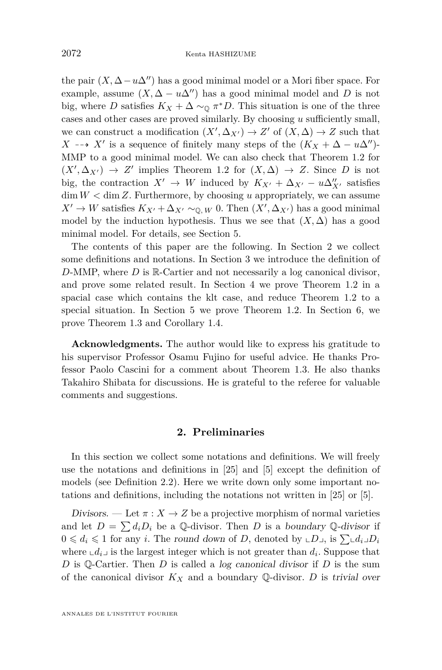the pair  $(X, \Delta - u\Delta'')$  has a good minimal model or a Mori fiber space. For example, assume  $(X, \Delta - u\Delta'')$  has a good minimal model and *D* is not big, where *D* satisfies  $K_X + \Delta \sim_{\mathbb{Q}} \pi^* D$ . This situation is one of the three cases and other cases are proved similarly. By choosing *u* sufficiently small, we can construct a modification  $(X', \Delta_{X'}) \to Z'$  of  $(X, \Delta) \to Z$  such that *X* -→ *X'* is a sequence of finitely many steps of the  $(K_X + \Delta - u\Delta'')$ -MMP to a good minimal model. We can also check that Theorem [1.2](#page-2-0) for  $(X', \Delta_{X'}) \rightarrow Z'$  implies Theorem [1.2](#page-2-0) for  $(X, \Delta) \rightarrow Z$ . Since *D* is not big, the contraction  $X' \to W$  induced by  $K_{X'} + \Delta_{X'} - u\Delta_{X'}''$  satisfies  $\dim W < \dim Z$ . Furthermore, by choosing *u* appropriately, we can assume *X*<sup> $\prime$ </sup> → *W* satisfies  $K_{X'} + \Delta_{X'} \sim_{\mathbb{Q}, W} 0$ . Then  $(X', \Delta_{X'})$  has a good minimal model by the induction hypothesis. Thus we see that  $(X, \Delta)$  has a good minimal model. For details, see Section [5.](#page-22-0)

The contents of this paper are the following. In Section [2](#page-4-0) we collect some definitions and notations. In Section [3](#page-10-0) we introduce the definition of *D*-MMP, where *D* is R-Cartier and not necessarily a log canonical divisor, and prove some related result. In Section [4](#page-17-1) we prove Theorem [1.2](#page-2-0) in a spacial case which contains the klt case, and reduce Theorem [1.2](#page-2-0) to a special situation. In Section [5](#page-22-0) we prove Theorem [1.2.](#page-2-0) In Section [6,](#page-36-0) we prove Theorem [1.3](#page-2-1) and Corollary [1.4.](#page-2-2)

**Acknowledgments.** The author would like to express his gratitude to his supervisor Professor Osamu Fujino for useful advice. He thanks Professor Paolo Cascini for a comment about Theorem [1.3.](#page-2-1) He also thanks Takahiro Shibata for discussions. He is grateful to the referee for valuable comments and suggestions.

#### **2. Preliminaries**

<span id="page-4-0"></span>In this section we collect some notations and definitions. We will freely use the notations and definitions in [\[25\]](#page-39-1) and [\[5\]](#page-38-0) except the definition of models (see Definition [2.2\)](#page-6-0). Here we write down only some important notations and definitions, including the notations not written in [\[25\]](#page-39-1) or [\[5\]](#page-38-0).

Divisors. — Let  $\pi: X \to Z$  be a projective morphism of normal varieties and let  $D = \sum d_i D_i$  be a Q-divisor. Then *D* is a boundary Q-divisor if  $0 \leq d_i \leq 1$  for any *i*. The round down of *D*, denoted by  $\sqcup D_{\sqcup}$ , is  $\sum_{i} d_i \sqcup D_i$ where  $\mathcal{L}d_i$  is the largest integer which is not greater than  $d_i$ . Suppose that *D* is Q-Cartier. Then *D* is called a log canonical divisor if *D* is the sum of the canonical divisor  $K_X$  and a boundary  $\mathbb Q$ -divisor. *D* is trivial over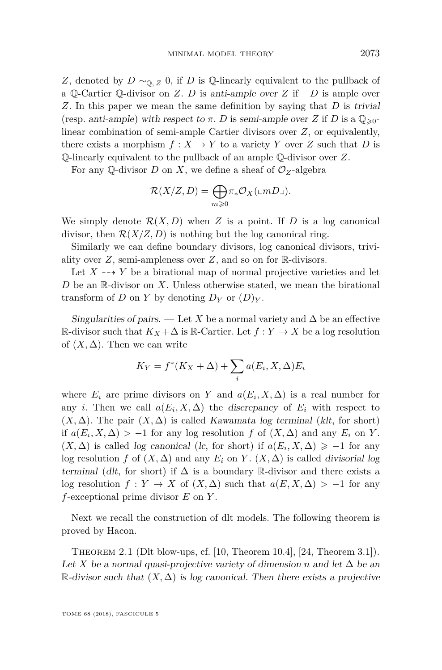*Z*, denoted by *D* ∼<sub>0</sub>, *z* 0, if *D* is Q-linearly equivalent to the pullback of a Q-Cartier Q-divisor on *Z*. *D* is anti-ample over *Z* if −*D* is ample over *Z*. In this paper we mean the same definition by saying that *D* is trivial (resp. anti-ample) with respect to  $\pi$ . *D* is semi-ample over *Z* if *D* is a  $\mathbb{Q}_{\geq 0}$ linear combination of semi-ample Cartier divisors over *Z*, or equivalently, there exists a morphism  $f: X \to Y$  to a variety Y over Z such that D is Q-linearly equivalent to the pullback of an ample Q-divisor over *Z*.

For any Q-divisor *D* on *X*, we define a sheaf of  $\mathcal{O}_Z$ -algebra

$$
\mathcal{R}(X/Z,D) = \bigoplus_{m \geq 0} \pi_* \mathcal{O}_X(\llcorner mD \lrcorner).
$$

We simply denote  $\mathcal{R}(X, D)$  when Z is a point. If D is a log canonical divisor, then  $\mathcal{R}(X/Z, D)$  is nothing but the log canonical ring.

Similarly we can define boundary divisors, log canonical divisors, triviality over *Z*, semi-ampleness over *Z*, and so on for R-divisors.

Let  $X \dashrightarrow Y$  be a birational map of normal projective varieties and let *D* be an R-divisor on *X*. Unless otherwise stated, we mean the birational transform of *D* on *Y* by denoting  $D_Y$  or  $(D)_Y$ .

Singularities of pairs. — Let *X* be a normal variety and  $\Delta$  be an effective R-divisor such that  $K_X + \Delta$  is R-Cartier. Let  $f: Y \to X$  be a log resolution of  $(X, \Delta)$ . Then we can write

$$
K_Y = f^*(K_X + \Delta) + \sum_i a(E_i, X, \Delta) E_i
$$

where  $E_i$  are prime divisors on *Y* and  $a(E_i, X, \Delta)$  is a real number for any *i*. Then we call  $a(E_i, X, \Delta)$  the discrepancy of  $E_i$  with respect to  $(X, \Delta)$ . The pair  $(X, \Delta)$  is called Kawamata log terminal (klt, for short) if  $a(E_i, X, \Delta) > -1$  for any log resolution *f* of  $(X, \Delta)$  and any  $E_i$  on *Y*.  $(X, \Delta)$  is called *log canonical* (*lc*, for short) if  $a(E_i, X, \Delta) \geq 1$  for any log resolution *f* of  $(X, \Delta)$  and any  $E_i$  on *Y*.  $(X, \Delta)$  is called divisorial log terminal (dlt, for short) if  $\Delta$  is a boundary R-divisor and there exists a log resolution  $f: Y \to X$  of  $(X, \Delta)$  such that  $a(E, X, \Delta) > -1$  for any *f*-exceptional prime divisor *E* on *Y* .

Next we recall the construction of dlt models. The following theorem is proved by Hacon.

Theorem 2.1 (Dlt blow-ups, cf. [\[10,](#page-38-8) Theorem 10.4], [\[24,](#page-38-9) Theorem 3.1]). Let *X* be a normal quasi-projective variety of dimension *n* and let  $\Delta$  be an  $\mathbb{R}$ -divisor such that  $(X, \Delta)$  is log canonical. Then there exists a projective

TOME 68 (2018), FASCICULE 5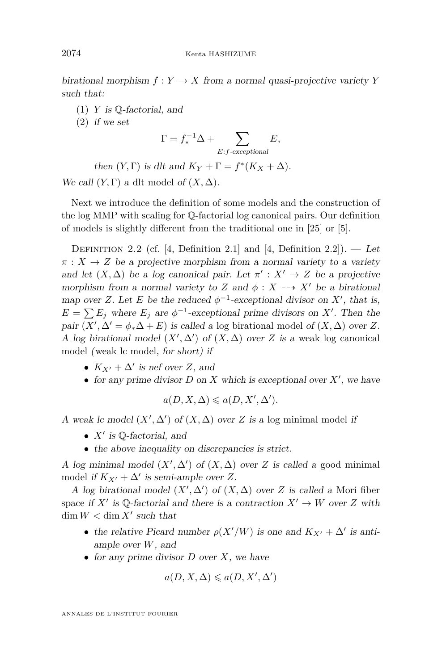birational morphism  $f: Y \to X$  from a normal quasi-projective variety *Y* such that:

- (1) *Y* is Q-factorial, and
- (2) if we set

$$
\Gamma = f_*^{-1} \Delta + \sum_{E:f\text{-exceptional}} E,
$$

then  $(Y, \Gamma)$  is dlt and  $K_Y + \Gamma = f^*(K_X + \Delta)$ .

We call  $(Y, \Gamma)$  a dlt model of  $(X, \Delta)$ .

Next we introduce the definition of some models and the construction of the log MMP with scaling for Q-factorial log canonical pairs. Our definition of models is slightly different from the traditional one in [\[25\]](#page-39-1) or [\[5\]](#page-38-0).

<span id="page-6-0"></span>DEFINITION 2.2 (cf. [\[4,](#page-38-10) Definition 2.1] and [4, Definition 2.2]). — Let  $\pi: X \to Z$  be a projective morphism from a normal variety to a variety and let  $(X, \Delta)$  be a log canonical pair. Let  $\pi' : X' \to Z$  be a projective morphism from a normal variety to *Z* and  $\phi : X \dashrightarrow X'$  be a birational map over *Z*. Let *E* be the reduced  $\phi^{-1}$ -exceptional divisor on *X'*, that is,  $E = \sum E_j$  where  $E_j$  are  $\phi^{-1}$ -exceptional prime divisors on *X'*. Then the pair  $(X', \Delta' = \phi_*\Delta + E)$  is called a log birational model of  $(X, \Delta)$  over *Z*. A log birational model  $(X', \Delta')$  of  $(X, \Delta)$  over *Z* is a weak log canonical model (weak lc model, for short) if

- $K_{X'} + \Delta'$  is nef over *Z*, and
- for any prime divisor  $D$  on  $X$  which is exceptional over  $X'$ , we have

$$
a(D, X, \Delta) \leqslant a(D, X', \Delta').
$$

A weak lc model  $(X', \Delta')$  of  $(X, \Delta)$  over *Z* is a log minimal model if

- $X'$  is  $\mathbb Q$ -factorial, and
- the above inequality on discrepancies is strict.

A log minimal model  $(X', \Delta')$  of  $(X, \Delta)$  over *Z* is called a good minimal model if  $K_{X'} + \Delta'$  is semi-ample over Z.

A log birational model  $(X', \Delta')$  of  $(X, \Delta)$  over *Z* is called a Mori fiber space if  $X'$  is Q-factorial and there is a contraction  $X' \to W$  over *Z* with  $\dim W < \dim X'$  such that

- the relative Picard number  $\rho(X'/W)$  is one and  $K_{X'} + \Delta'$  is antiample over *W*, and
- for any prime divisor *D* over *X*, we have

$$
a(D, X, \Delta) \leqslant a(D, X', \Delta')
$$

ANNALES DE L'INSTITUT FOURIER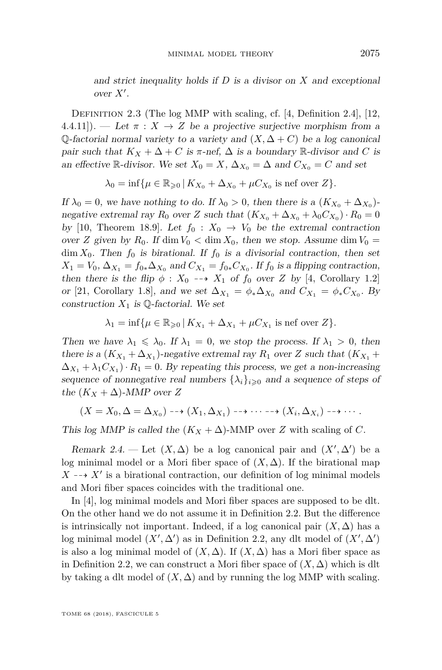and strict inequality holds if *D* is a divisor on *X* and exceptional  $over X'.$ 

Definition 2.3 (The log MMP with scaling, cf. [\[4,](#page-38-10) Definition 2.4], [\[12,](#page-38-11) 4.4.11]). — Let  $\pi : X \to Z$  be a projective surjective morphism from a Q-factorial normal variety to a variety and  $(X, \Delta + C)$  be a log canonical pair such that  $K_X + \Delta + C$  is  $\pi$ -nef,  $\Delta$  is a boundary R-divisor and *C* is an effective R-divisor. We set  $X_0 = X$ ,  $\Delta_{X_0} = \Delta$  and  $C_{X_0} = C$  and set

$$
\lambda_0 = \inf \{ \mu \in \mathbb{R}_{\geqslant 0} \, | \, K_{X_0} + \Delta_{X_0} + \mu C_{X_0} \text{ is nef over } Z \}.
$$

If  $\lambda_0 = 0$ , we have nothing to do. If  $\lambda_0 > 0$ , then there is a  $(K_{X_0} + \Delta_{X_0})$ negative extremal ray  $R_0$  over  $Z$  such that  $(K_{X_0} + \Delta_{X_0} + \lambda_0 C_{X_0}) \cdot R_0 = 0$ by [\[10,](#page-38-8) Theorem 18.9]. Let  $f_0: X_0 \to V_0$  be the extremal contraction over *Z* given by  $R_0$ . If dim  $V_0 < \dim X_0$ , then we stop. Assume dim  $V_0 =$  $\dim X_0$ . Then  $f_0$  is birational. If  $f_0$  is a divisorial contraction, then set  $X_1 = V_0$ ,  $\Delta_{X_1} = f_{0*} \Delta_{X_0}$  and  $C_{X_1} = f_{0*} C_{X_0}$ . If  $f_0$  is a flipping contraction, then there is the flip  $\phi$  :  $X_0 \dashrightarrow X_1$  of  $f_0$  over *Z* by [\[4,](#page-38-10) Corollary 1.2] or [\[21,](#page-38-12) Corollary 1.8], and we set  $\Delta_{X_1} = \phi_* \Delta_{X_0}$  and  $C_{X_1} = \phi_* C_{X_0}$ . By construction  $X_1$  is  $\mathbb{Q}$ -factorial. We set

$$
\lambda_1 = \inf \{ \mu \in \mathbb{R}_{\geqslant 0} \, | \, K_{X_1} + \Delta_{X_1} + \mu C_{X_1} \text{ is nef over } Z \}.
$$

Then we have  $\lambda_1 \leq \lambda_0$ . If  $\lambda_1 = 0$ , we stop the process. If  $\lambda_1 > 0$ , then there is a  $(K_{X_1} + \Delta_{X_1})$ -negative extremal ray  $R_1$  over  $Z$  such that  $(K_{X_1} +$  $\Delta_{X_1} + \lambda_1 C_{X_1}$ ) ·  $R_1 = 0$ . By repeating this process, we get a non-increasing sequence of nonnegative real numbers  $\{\lambda_i\}_{i\geqslant 0}$  and a sequence of steps of the  $(K_X + \Delta)$ -MMP over Z

$$
(X=X_0,\Delta=\Delta_{X_0})\dashrightarrow (X_1,\Delta_{X_1})\dashrightarrow\cdots\dashrightarrow (X_i,\Delta_{X_i})\dashrightarrow\cdots.
$$

This log MMP is called the  $(K_X + \Delta)$ -MMP over *Z* with scaling of *C*.

Remark 2.4. — Let  $(X, \Delta)$  be a log canonical pair and  $(X', \Delta')$  be a log minimal model or a Mori fiber space of  $(X, \Delta)$ . If the birational map  $X \dashrightarrow X'$  is a birational contraction, our definition of log minimal models and Mori fiber spaces coincides with the traditional one.

In [\[4\]](#page-38-10), log minimal models and Mori fiber spaces are supposed to be dlt. On the other hand we do not assume it in Definition [2.2.](#page-6-0) But the difference is intrinsically not important. Indeed, if a log canonical pair  $(X, \Delta)$  has a log minimal model  $(X', \Delta')$  as in Definition [2.2,](#page-6-0) any dlt model of  $(X', \Delta')$ is also a log minimal model of  $(X, \Delta)$ . If  $(X, \Delta)$  has a Mori fiber space as in Definition [2.2,](#page-6-0) we can construct a Mori fiber space of  $(X, \Delta)$  which is dlt by taking a dlt model of  $(X, \Delta)$  and by running the log MMP with scaling.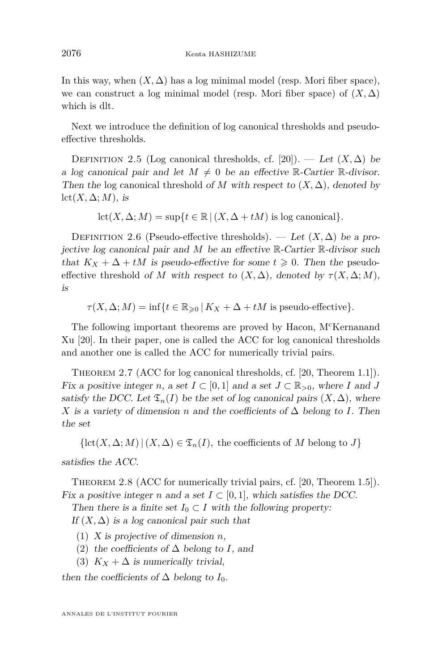In this way, when  $(X, \Delta)$  has a log minimal model (resp. Mori fiber space), we can construct a log minimal model (resp. Mori fiber space) of  $(X, \Delta)$ which is dlt.

Next we introduce the definition of log canonical thresholds and pseudoeffective thresholds.

DEFINITION 2.5 (Log canonical thresholds, cf. [\[20\]](#page-38-13)). — Let  $(X, \Delta)$  be a log canonical pair and let  $M \neq 0$  be an effective R-Cartier R-divisor. Then the log canonical threshold of *M* with respect to  $(X, \Delta)$ , denoted by  $lct(X, \Delta; M)$ , is

 $\mathrm{lct}(X, \Delta; M) = \sup\{t \in \mathbb{R} \mid (X, \Delta + tM) \text{ is log canonical}\}.$ 

DEFINITION 2.6 (Pseudo-effective thresholds). — Let  $(X, \Delta)$  be a projective log canonical pair and *M* be an effective R-Cartier R-divisor such that  $K_X + \Delta + tM$  is pseudo-effective for some  $t \geq 0$ . Then the pseudoeffective threshold of *M* with respect to  $(X, \Delta)$ , denoted by  $\tau(X, \Delta; M)$ , is

 $\tau(X, \Delta; M) = \inf\{t \in \mathbb{R}_{\geq 0} | K_X + \Delta + tM \text{ is pseudo-effective}\}.$ 

The following important theorems are proved by Hacon, M<sup>c</sup>Kernanand Xu [\[20\]](#page-38-13). In their paper, one is called the ACC for log canonical thresholds and another one is called the ACC for numerically trivial pairs.

<span id="page-8-0"></span>Theorem 2.7 (ACC for log canonical thresholds, cf. [\[20,](#page-38-13) Theorem 1.1]). Fix a positive integer *n*, a set  $I \subset [0,1]$  and a set  $J \subset \mathbb{R}_{>0}$ , where *I* and *J* satisfy the DCC. Let  $\mathfrak{T}_n(I)$  be the set of log canonical pairs  $(X, \Delta)$ , where *X* is a variety of dimension *n* and the coefficients of  $\Delta$  belong to *I*. Then the set

 $\{\text{lct}(X, \Delta; M) \mid (X, \Delta) \in \mathfrak{T}_n(I),\$  the coefficients of *M* belong to *J*} satisfies the ACC.

<span id="page-8-1"></span>Theorem 2.8 (ACC for numerically trivial pairs, cf. [\[20,](#page-38-13) Theorem 1.5]). Fix a positive integer *n* and a set  $I \subset [0, 1]$ , which satisfies the DCC.

Then there is a finite set  $I_0 \subset I$  with the following property:

If  $(X, \Delta)$  is a log canonical pair such that

- (1) X is projective of dimension *n*,
- (2) the coefficients of ∆ belong to *I*, and
- (3)  $K_X + \Delta$  is numerically trivial,

then the coefficients of  $\Delta$  belong to  $I_0$ .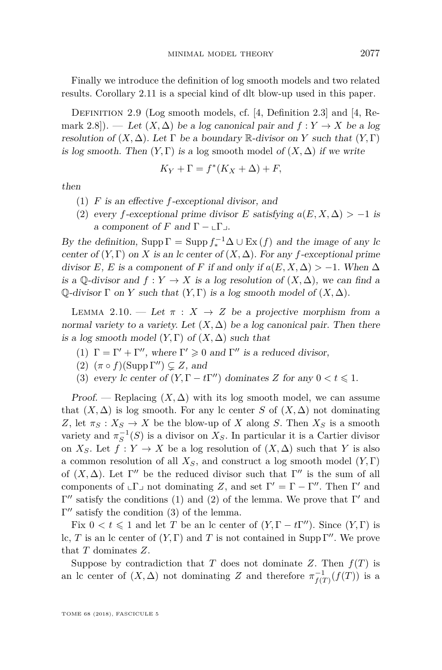Finally we introduce the definition of log smooth models and two related results. Corollary [2.11](#page-10-1) is a special kind of dlt blow-up used in this paper.

Definition 2.9 (Log smooth models, cf. [\[4,](#page-38-10) Definition 2.3] and [\[4,](#page-38-10) Remark 2.8]). — Let  $(X, \Delta)$  be a log canonical pair and  $f: Y \to X$  be a log resolution of  $(X, \Delta)$ . Let  $\Gamma$  be a boundary  $\mathbb R$ -divisor on *Y* such that  $(Y, \Gamma)$ is log smooth. Then  $(Y, \Gamma)$  is a log smooth model of  $(X, \Delta)$  if we write

$$
K_Y + \Gamma = f^*(K_X + \Delta) + F,
$$

then

- (1) *F* is an effective *f*-exceptional divisor, and
- (2) every *f*-exceptional prime divisor *E* satisfying  $a(E, X, \Delta) > -1$  is a component of *F* and  $\Gamma - \lfloor \Gamma \rfloor$ .

By the definition,  $\text{Supp}\,\Gamma = \text{Supp}\,f_*^{-1}\Delta \cup \text{Ex}\,(f)$  and the image of any lc center of  $(Y, \Gamma)$  on *X* is an *c* center of  $(X, \Delta)$ . For any *f*-exceptional prime divisor *E*, *E* is a component of *F* if and only if  $a(E, X, \Delta) > -1$ . When  $\Delta$ is a  $\mathbb{Q}$ -divisor and  $f: Y \to X$  is a log resolution of  $(X, \Delta)$ , we can find a  $\mathbb Q$ -divisor  $\Gamma$  on *Y* such that  $(Y, \Gamma)$  is a log smooth model of  $(X, \Delta)$ .

<span id="page-9-3"></span>LEMMA 2.10. — Let  $\pi$  :  $X \to Z$  be a projective morphism from a normal variety to a variety. Let  $(X, \Delta)$  be a log canonical pair. Then there is a log smooth model  $(Y, \Gamma)$  of  $(X, \Delta)$  such that

- <span id="page-9-0"></span>(1)  $\Gamma = \Gamma' + \Gamma''$ , where  $\Gamma' \geq 0$  and  $\Gamma''$  is a reduced divisor,
- <span id="page-9-1"></span>(2)  $(\pi \circ f)(\text{Supp }\Gamma'') \subseteq Z$ , and
- <span id="page-9-2"></span>(3) every lc center of  $(Y, \Gamma - t\Gamma'')$  dominates *Z* for any  $0 < t \leq 1$ .

Proof. — Replacing  $(X, \Delta)$  with its log smooth model, we can assume that  $(X, \Delta)$  is log smooth. For any lc center *S* of  $(X, \Delta)$  not dominating *Z*, let  $\pi_S : X_S \to X$  be the blow-up of *X* along *S*. Then  $X_S$  is a smooth variety and  $\pi_S^{-1}(S)$  is a divisor on  $X_S$ . In particular it is a Cartier divisor on *X<sub>S</sub>*. Let  $f: Y \to X$  be a log resolution of  $(X, \Delta)$  such that *Y* is also a common resolution of all *XS*, and construct a log smooth model (*Y,* Γ) of  $(X, \Delta)$ . Let  $\Gamma''$  be the reduced divisor such that  $\Gamma''$  is the sum of all components of  $\llcorner \Gamma \lrcorner$  not dominating *Z*, and set  $\Gamma' = \Gamma - \Gamma''$ . Then  $\Gamma'$  and  $Γ''$  satisfy the conditions [\(1\)](#page-9-0) and [\(2\)](#page-9-1) of the lemma. We prove that  $Γ'$  and  $Γ''$  satisfy the condition  $(3)$  of the lemma.

Fix  $0 < t \leq 1$  and let *T* be an lc center of  $(Y, \Gamma - t\Gamma'')$ . Since  $(Y, \Gamma)$  is lc, *T* is an lc center of  $(Y, \Gamma)$  and *T* is not contained in Supp  $\Gamma''$ . We prove that *T* dominates *Z*.

Suppose by contradiction that *T* does not dominate *Z*. Then  $f(T)$  is an lc center of  $(X, \Delta)$  not dominating *Z* and therefore  $\pi^{-1}_{f(T)}(f(T))$  is a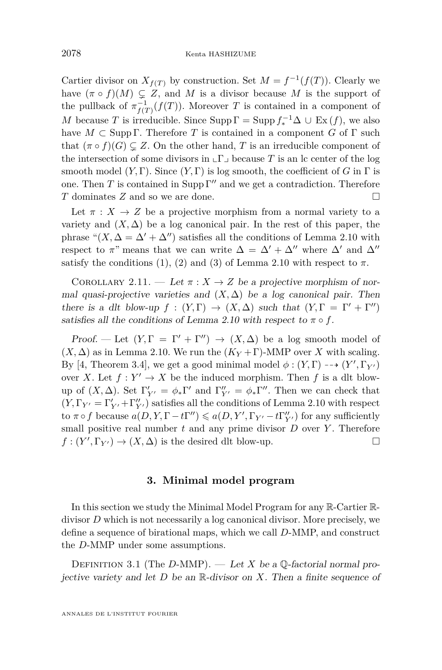Cartier divisor on  $X_{f(T)}$  by construction. Set  $M = f^{-1}(f(T))$ . Clearly we have  $(\pi \circ f)(M) \subsetneq Z$ , and M is a divisor because M is the support of the pullback of  $\pi_{f(T)}^{-1}(f(T))$ . Moreover *T* is contained in a component of *M* because *T* is irreducible. Since  $\text{Supp}\,\Gamma = \text{Supp}\,f_*^{-1}\Delta \cup \text{Ex}(f)$ , we also have  $M \subset \text{Supp }\Gamma$ . Therefore *T* is contained in a component *G* of  $\Gamma$  such that  $(\pi \circ f)(G) \subseteq Z$ . On the other hand, *T* is an irreducible component of the intersection of some divisors in  $\lfloor \Gamma \rfloor$  because *T* is an lc center of the log smooth model  $(Y, \Gamma)$ . Since  $(Y, \Gamma)$  is log smooth, the coefficient of *G* in  $\Gamma$  is one. Then *T* is contained in Supp  $\Gamma''$  and we get a contradiction. Therefore *T* dominates *Z* and so we are done. □

Let  $\pi : X \to Z$  be a projective morphism from a normal variety to a variety and  $(X, \Delta)$  be a log canonical pair. In the rest of this paper, the phrase " $(X, \Delta = \Delta' + \Delta'')$  satisfies all the conditions of Lemma [2.10](#page-9-3) with respect to  $\pi$ " means that we can write  $\Delta = \Delta' + \Delta''$  where  $\Delta'$  and  $\Delta''$ satisfy the conditions [\(1\)](#page-9-0), [\(2\)](#page-9-1) and [\(3\)](#page-9-2) of Lemma [2.10](#page-9-3) with respect to  $\pi$ .

<span id="page-10-1"></span>COROLLARY 2.11. — Let  $\pi: X \to Z$  be a projective morphism of normal quasi-projective varieties and  $(X, \Delta)$  be a log canonical pair. Then there is a dlt blow-up  $f : (Y, \Gamma) \to (X, \Delta)$  such that  $(Y, \Gamma = \Gamma' + \Gamma'')$ satisfies all the conditions of Lemma [2.10](#page-9-3) with respect to  $\pi \circ f$ .

Proof. — Let  $(Y, \Gamma = \Gamma' + \Gamma'') \rightarrow (X, \Delta)$  be a log smooth model of  $(X, \Delta)$  as in Lemma [2.10.](#page-9-3) We run the  $(K_Y + \Gamma)$ -MMP over X with scaling. By [\[4,](#page-38-10) Theorem 3.4], we get a good minimal model  $\phi$  :  $(Y, \Gamma) \dashrightarrow (Y', \Gamma_{Y'})$ over *X*. Let  $f: Y' \to X$  be the induced morphism. Then *f* is a dlt blowup of  $(X, \Delta)$ . Set  $\Gamma'_{Y'} = \phi_* \Gamma'$  and  $\Gamma''_{Y'} = \phi_* \Gamma''$ . Then we can check that  $(Y,\Gamma_{Y'}=\Gamma'_{Y'}+\Gamma''_{Y'})$  satisfies all the conditions of Lemma [2.10](#page-9-3) with respect to  $\pi \circ f$  because  $a(D, Y, \Gamma - t\Gamma'') \leqslant a(D, Y', \Gamma_{Y'} - t\Gamma''_{Y'})$  for any sufficiently small positive real number  $t$  and any prime divisor  $D$  over  $Y$ . Therefore  $f: (Y', \Gamma_{Y'}) \to (X, \Delta)$  is the desired dlt blow-up.

#### **3. Minimal model program**

<span id="page-10-0"></span>In this section we study the Minimal Model Program for any R-Cartier Rdivisor *D* which is not necessarily a log canonical divisor. More precisely, we define a sequence of birational maps, which we call *D*-MMP, and construct the *D*-MMP under some assumptions.

<span id="page-10-2"></span>DEFINITION 3.1 (The *D*-MMP). — Let *X* be a Q-factorial normal projective variety and let *D* be an R-divisor on *X*. Then a finite sequence of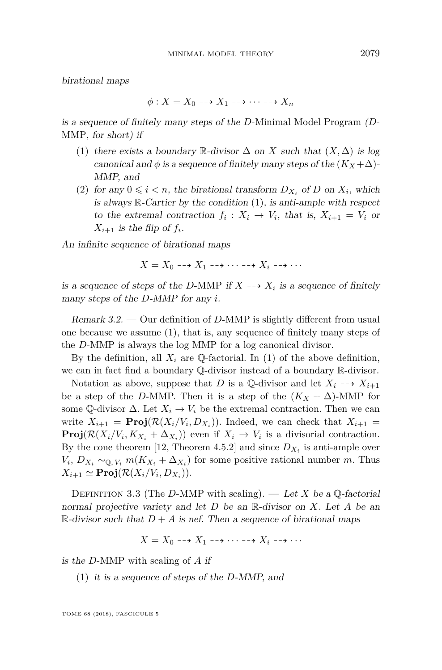birational maps

$$
\phi: X = X_0 \dashrightarrow X_1 \dashrightarrow \cdots \dashrightarrow X_n
$$

is a sequence of finitely many steps of the *D*-Minimal Model Program (*D*-MMP, for short) if

- <span id="page-11-0"></span>(1) there exists a boundary R-divisor  $\Delta$  on *X* such that  $(X, \Delta)$  is log canonical and  $\phi$  is a sequence of finitely many steps of the  $(K_X + \Delta)$ -MMP, and
- (2) for any  $0 \leq i < n$ , the birational transform  $D_{X_i}$  of  $D$  on  $X_i$ , which is always  $\mathbb{R}$ -Cartier by the condition [\(1\)](#page-11-0), is anti-ample with respect to the extremal contraction  $f_i: X_i \to V_i$ , that is,  $X_{i+1} = V_i$  or  $X_{i+1}$  is the flip of  $f_i$ .

An infinite sequence of birational maps

 $X = X_0 \longrightarrow X_1 \longrightarrow \cdots \longrightarrow X_i \longrightarrow \cdots$ 

is a sequence of steps of the *D*-MMP if  $X \dashrightarrow X_i$  is a sequence of finitely many steps of the *D*-MMP for any *i*.

<span id="page-11-2"></span>Remark 3.2. — Our definition of *D*-MMP is slightly different from usual one because we assume [\(1\)](#page-11-0), that is, any sequence of finitely many steps of the *D*-MMP is always the log MMP for a log canonical divisor.

By the definition, all  $X_i$  are  $\mathbb Q$ -factorial. In [\(1\)](#page-11-0) of the above definition, we can in fact find a boundary Q-divisor instead of a boundary R-divisor.

Notation as above, suppose that *D* is a Q-divisor and let  $X_i \dashrightarrow X_{i+1}$ be a step of the *D*-MMP. Then it is a step of the  $(K_X + \Delta)$ -MMP for some Q-divisor  $\Delta$ . Let  $X_i \to V_i$  be the extremal contraction. Then we can write  $X_{i+1} = \text{Proj}(\mathcal{R}(X_i | V_i, D_{X_i}))$ . Indeed, we can check that  $X_{i+1} =$ **Proj** $(R(X_i/V_i, K_{X_i} + \Delta_{X_i}))$  even if  $X_i \to V_i$  is a divisorial contraction. By the cone theorem [\[12,](#page-38-11) Theorem 4.5.2] and since  $D_{X_i}$  is anti-ample over  $V_i$ ,  $D_{X_i} \sim_{\mathbb{Q}, V_i} m(K_{X_i} + \Delta_{X_i})$  for some positive rational number *m*. Thus  $X_{i+1} \simeq \textbf{Proj}(\mathcal{R}(X_i/V_i, D_{X_i})).$ 

<span id="page-11-1"></span>Definition 3.3 (The *D*-MMP with scaling). — Let *X* be a Q-factorial normal projective variety and let *D* be an R-divisor on *X*. Let *A* be an R-divisor such that  $D + A$  is nef. Then a sequence of birational maps

$$
X = X_0 \dashrightarrow X_1 \dashrightarrow \cdots \dashrightarrow X_i \dashrightarrow \cdots
$$

is the *D*-MMP with scaling of *A* if

(1) it is a sequence of steps of the *D*-MMP, and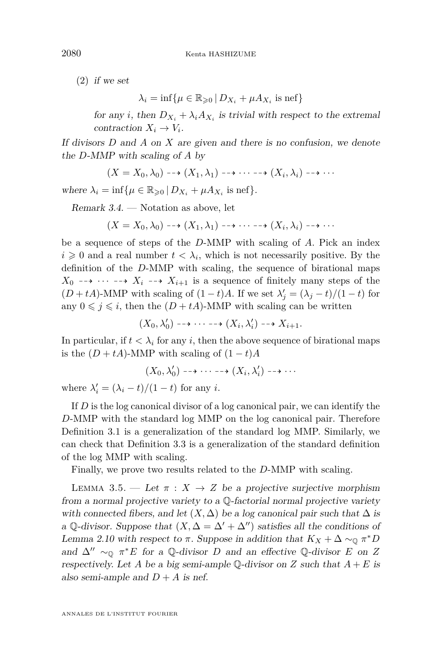(2) if we set

 $\lambda_i = \inf \{ \mu \in \mathbb{R}_{\geqslant 0} \, | \, D_{X_i} + \mu A_{X_i} \text{ is nef} \}$ 

for any *i*, then  $D_{X_i} + \lambda_i A_{X_i}$  is trivial with respect to the extremal contraction  $X_i \to V_i$ .

If divisors *D* and *A* on *X* are given and there is no confusion, we denote the *D*-MMP with scaling of *A* by

 $(X = X_0, \lambda_0) \dashrightarrow (X_1, \lambda_1) \dashrightarrow \cdots \dashrightarrow (X_i, \lambda_i) \dashrightarrow \cdots$ 

where  $\lambda_i = \inf \{ \mu \in \mathbb{R}_{\geqslant 0} \mid D_{X_i} + \mu A_{X_i} \text{ is nef} \}.$ 

<span id="page-12-1"></span>Remark 3.4. — Notation as above, let

 $(X = X_0, \lambda_0) \dashrightarrow (X_1, \lambda_1) \dashrightarrow \cdots \dashrightarrow (X_i, \lambda_i) \dashrightarrow \cdots$ 

be a sequence of steps of the *D*-MMP with scaling of *A*. Pick an index  $i \geq 0$  and a real number  $t < \lambda_i$ , which is not necessarily positive. By the definition of the *D*-MMP with scaling, the sequence of birational maps  $X_0 \dashrightarrow \cdots \dashrightarrow X_i \dashrightarrow X_{i+1}$  is a sequence of finitely many steps of the  $(D + tA)$ -MMP with scaling of  $(1 - t)A$ . If we set  $\lambda'_{j} = (\lambda_{j} - t)/(1 - t)$  for any  $0 \leq j \leq i$ , then the  $(D + tA)$ -MMP with scaling can be written

$$
(X_0,\lambda'_0)\dashrightarrow\cdots\dashrightarrow (X_i,\lambda'_i)\dashrightarrow X_{i+1}.
$$

In particular, if  $t < \lambda_i$  for any *i*, then the above sequence of birational maps is the  $(D + tA)$ -MMP with scaling of  $(1 - t)A$ 

$$
(X_0,\lambda'_0)\dashrightarrow\cdots\dashrightarrow (X_i,\lambda'_i)\dashrightarrow\cdots
$$

where  $\lambda'_i = (\lambda_i - t)/(1 - t)$  for any *i*.

If *D* is the log canonical divisor of a log canonical pair, we can identify the *D*-MMP with the standard log MMP on the log canonical pair. Therefore Definition [3.1](#page-10-2) is a generalization of the standard log MMP. Similarly, we can check that Definition [3.3](#page-11-1) is a generalization of the standard definition of the log MMP with scaling.

Finally, we prove two results related to the *D*-MMP with scaling.

<span id="page-12-0"></span>LEMMA 3.5. — Let  $\pi$  :  $X \to Z$  be a projective surjective morphism from a normal projective variety to a Q-factorial normal projective variety with connected fibers, and let  $(X, \Delta)$  be a log canonical pair such that  $\Delta$  is a Q-divisor. Suppose that  $(X, \Delta = \Delta' + \Delta'')$  satisfies all the conditions of Lemma [2.10](#page-9-3) with respect to  $\pi$ . Suppose in addition that  $K_X + \Delta \sim_{\mathbb{Q}} \pi^* D$ and  $\Delta'' \sim_{\mathbb{Q}} \pi^* E$  for a Q-divisor *D* and an effective Q-divisor *E* on *Z* respectively. Let *A* be a big semi-ample  $\mathbb{Q}$ -divisor on *Z* such that  $A + E$  is also semi-ample and  $D + A$  is nef.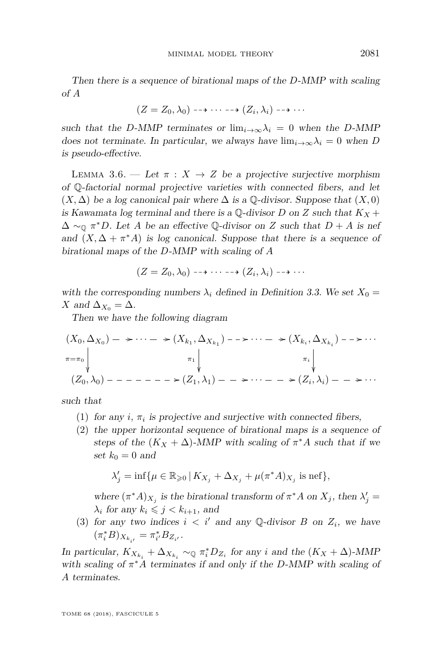Then there is a sequence of birational maps of the *D*-MMP with scaling of *A*

$$
(Z = Z_0, \lambda_0) \dashrightarrow \cdots \dashrightarrow (Z_i, \lambda_i) \dashrightarrow \cdots
$$

such that the *D*-MMP terminates or  $\lim_{i\to\infty}\lambda_i = 0$  when the *D*-MMP does not terminate. In particular, we always have  $\lim_{i\to\infty}\lambda_i=0$  when *D* is pseudo-effective.

<span id="page-13-0"></span>LEMMA 3.6. — Let  $\pi$  :  $X \to Z$  be a projective surjective morphism of Q-factorial normal projective varieties with connected fibers, and let  $(X, \Delta)$  be a log canonical pair where  $\Delta$  is a Q-divisor. Suppose that  $(X, 0)$ is Kawamata log terminal and there is a  $\mathbb{Q}$ -divisor *D* on *Z* such that  $K_X$  +  $\Delta \sim_{\mathbb{Q}} \pi^* D$ . Let *A* be an effective Q-divisor on *Z* such that  $D + A$  is nef and  $(X, \Delta + \pi^*A)$  is log canonical. Suppose that there is a sequence of birational maps of the *D*-MMP with scaling of *A*

$$
(Z = Z_0, \lambda_0) \dashrightarrow \cdots \dashrightarrow (Z_i, \lambda_i) \dashrightarrow \cdots
$$

with the corresponding numbers  $\lambda_i$  defined in Definition [3.3.](#page-11-1) We set  $X_0 =$ *X* and  $\Delta_{X_0} = \Delta$ .

Then we have the following diagram

$$
(X_0, \Delta_{X_0}) - \cdots - \cdots - \cdots - \cdots - \cdots - \cdots - \cdots - (X_{k_i}, \Delta_{X_{k_i}}) - \cdots
$$
  

$$
\pi = \pi_0 \downarrow \pi_1 \downarrow \pi_1 \downarrow \pi_1 \downarrow \pi_1 \downarrow \pi_1 \downarrow \pi_1 \downarrow \pi_1 \downarrow \pi_1 \downarrow \pi_2 \downarrow \dots
$$
  

$$
(Z_0, \lambda_0) - - - - - - - \cdots = (Z_1, \lambda_1) - - \cdots - \cdots - \cdots = (Z_i, \lambda_i) - \cdots
$$

<span id="page-13-2"></span>such that

- (1) for any  $i$ ,  $\pi_i$  is projective and surjective with connected fibers,
- (2) the upper horizontal sequence of birational maps is a sequence of steps of the  $(K_X + \Delta)$ -MMP with scaling of  $\pi^*A$  such that if we set  $k_0 = 0$  and

$$
\lambda'_j = \inf \{ \mu \in \mathbb{R}_{\geqslant 0} \, | \, K_{X_j} + \Delta_{X_j} + \mu(\pi^* A)_{X_j} \text{ is nef} \},
$$

where  $(\pi^* A)_{X_j}$  is the birational transform of  $\pi^* A$  on  $X_j$ , then  $\lambda'_j =$  $\lambda_i$  for any  $k_i \leq j \leq k_{i+1}$ , and

<span id="page-13-1"></span>(3) for any two indices  $i < i'$  and any Q-divisor *B* on  $Z_i$ , we have  $(\pi_i^* B)_{X_{k_{i'}}} = \pi_{i'}^* B_{Z_{i'}}.$ 

In particular,  $K_{X_{k_i}} + \Delta_{X_{k_i}} \sim_{\mathbb{Q}} \pi_i^* D_{Z_i}$  for any *i* and the  $(K_X + \Delta)$ -MMP with scaling of  $\pi^*A$  terminates if and only if the *D*-MMP with scaling of *A* terminates.

TOME 68 (2018), FASCICULE 5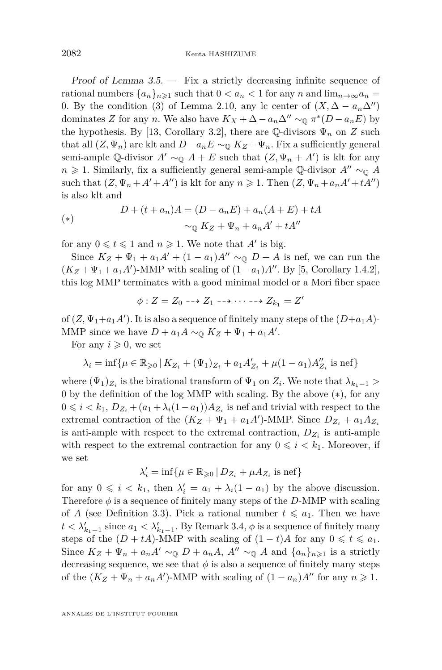2082 Kenta HASHIZUME

Proof of Lemma  $3.5.$  – Fix a strictly decreasing infinite sequence of rational numbers  $\{a_n\}_{n\geq 1}$  such that  $0 < a_n < 1$  for any *n* and  $\lim_{n\to\infty} a_n =$ 0. By the condition [\(3\)](#page-9-2) of Lemma [2.10,](#page-9-3) any lc center of  $(X, \Delta - a_n\Delta'')$ dominates *Z* for any *n*. We also have  $K_X + \Delta - a_n \Delta'' \sim_{\mathbb{Q}} \pi^*(D - a_n E)$  by the hypothesis. By [\[13,](#page-38-2) Corollary 3.2], there are Q-divisors  $\Psi_n$  on *Z* such that all  $(Z, \Psi_n)$  are klt and  $D-a_nE \sim_{\mathbb{Q}} K_Z + \Psi_n$ . Fix a sufficiently general semi-ample  $\mathbb{Q}$ -divisor  $A' \sim_{\mathbb{Q}} A + E$  such that  $(Z, \Psi_n + A')$  is klt for any *n*  $\geq$  1. Similarly, fix a sufficiently general semi-ample Q-divisor *A*<sup>*n*</sup> ∼<sub>0</sub> *A* such that  $(Z, \Psi_n + A' + A'')$  is klt for any  $n \geq 1$ . Then  $(Z, \Psi_n + a_n A' + tA'')$ is also klt and

<span id="page-14-0"></span>(\*)  

$$
D + (t + a_n)A = (D - a_nE) + a_n(A + E) + tA
$$

$$
\sim_{\mathbb{Q}} K_Z + \Psi_n + a_nA' + tA''
$$

for any  $0 \leq t \leq 1$  and  $n \geq 1$ . We note that *A'* is big.

Since  $K_Z + \Psi_1 + a_1 A' + (1 - a_1)A'' \sim_{\mathbb{Q}} D + A$  is nef, we can run the  $(K_Z + \Psi_1 + a_1 A')$ -MMP with scaling of  $(1 - a_1)A''$ . By [\[5,](#page-38-0) Corollary 1.4.2], this log MMP terminates with a good minimal model or a Mori fiber space

$$
\phi: Z = Z_0 \dashrightarrow Z_1 \dashrightarrow \cdots \dashrightarrow Z_{k_1} = Z'
$$

of  $(Z, \Psi_1 + a_1 A')$ . It is also a sequence of finitely many steps of the  $(D+a_1 A)$ -MMP since we have  $D + a_1 A \sim_{\mathbb{Q}} K_Z + \Psi_1 + a_1 A'$ .

For any  $i \geqslant 0$ , we set

$$
\lambda_i = \inf \{ \mu \in \mathbb{R}_{\geqslant 0} \, | \, K_{Z_i} + (\Psi_1)_{Z_i} + a_1 A'_{Z_i} + \mu (1 - a_1) A''_{Z_i} \text{ is nef} \}
$$

where  $(\Psi_1)_{Z_i}$  is the birational transform of  $\Psi_1$  on  $Z_i$ . We note that  $\lambda_{k_1-1}$  > 0 by the definition of the log MMP with scaling. By the above ([∗](#page-14-0)), for any  $0 \leq i \leq k_1, D_{Z_i} + (a_1 + \lambda_i(1 - a_1))A_{Z_i}$  is nef and trivial with respect to the extremal contraction of the  $(K_Z + \Psi_1 + a_1A')$ -MMP. Since  $D_{Z_i} + a_1A_{Z_i}$ is anti-ample with respect to the extremal contraction,  $D_{Z_i}$  is anti-ample with respect to the extremal contraction for any  $0 \leq i \leq k_1$ . Moreover, if we set

$$
\lambda_i' = \inf \{ \mu \in \mathbb{R}_{\geqslant 0} \, | \, D_{Z_i} + \mu A_{Z_i} \text{ is nef} \}
$$

for any  $0 \leq i \leq k_1$ , then  $\lambda'_i = a_1 + \lambda_i(1 - a_1)$  by the above discussion. Therefore  $\phi$  is a sequence of finitely many steps of the *D*-MMP with scaling of *A* (see Definition [3.3\)](#page-11-1). Pick a rational number  $t \leq a_1$ . Then we have  $t < \lambda'_{k_1-1}$  since  $a_1 < \lambda'_{k_1-1}$ . By Remark [3.4,](#page-12-1)  $\phi$  is a sequence of finitely many steps of the  $(D + tA)$ -MMP with scaling of  $(1 - t)A$  for any  $0 \le t \le a_1$ . Since  $K_Z + \Psi_n + a_n A' \sim_{\mathbb{Q}} D + a_n A$ ,  $A'' \sim_{\mathbb{Q}} A$  and  $\{a_n\}_{n \geq 1}$  is a strictly decreasing sequence, we see that  $\phi$  is also a sequence of finitely many steps of the  $(K_Z + \Psi_n + a_n A')$ -MMP with scaling of  $(1 - a_n)A''$  for any  $n \ge 1$ .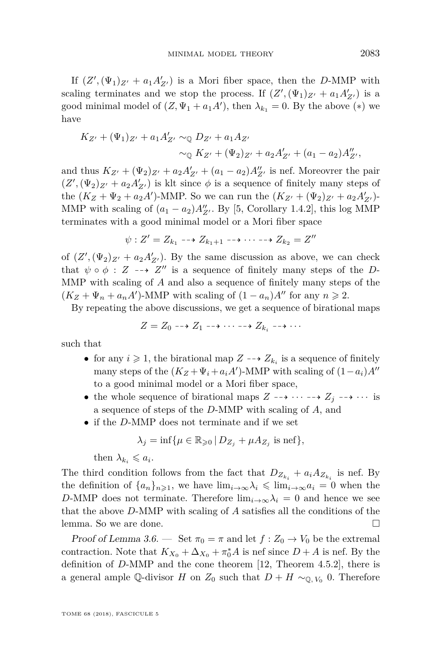If  $(Z', (\Psi_1)_{Z'} + a_1 A'_{Z'})$  is a Mori fiber space, then the *D*-MMP with scaling terminates and we stop the process. If  $(Z', (\Psi_1)_{Z'} + a_1 A'_{Z'})$  is a good minimal model of  $(Z, \Psi_1 + a_1 A')$ , then  $\lambda_{k_1} = 0$ . By the above  $(*)$  we have

$$
K_{Z'} + (\Psi_1)_{Z'} + a_1 A'_{Z'} \sim_{\mathbb{Q}} D_{Z'} + a_1 A_{Z'}
$$
  
 
$$
\sim_{\mathbb{Q}} K_{Z'} + (\Psi_2)_{Z'} + a_2 A'_{Z'} + (a_1 - a_2) A''_{Z'},
$$

and thus  $K_{Z'} + (\Psi_2)_{Z'} + a_2 A'_{Z'} + (a_1 - a_2) A''_{Z'}$  is nef. Moreovrer the pair  $(Z', (\Psi_2)_{Z'} + a_2 A'_{Z'})$  is klt since  $\phi$  is a sequence of finitely many steps of the  $(K_Z + \Psi_2 + a_2A')$ -MMP. So we can run the  $(K_{Z'} + (\Psi_2)_{Z'} + a_2A'_{Z'})$ -MMP with scaling of  $(a_1 - a_2)A''_{Z'}$ . By [\[5,](#page-38-0) Corollary 1.4.2], this log MMP terminates with a good minimal model or a Mori fiber space

$$
\psi: Z'=Z_{k_1}\dashrightarrow Z_{k_1+1}\dashrightarrow \cdots \dashrightarrow Z_{k_2}=Z''
$$

of  $(Z', (\Psi_2)_{Z'} + a_2 A'_{Z'})$ . By the same discussion as above, we can check that  $\psi \circ \phi : Z \dashrightarrow Z''$  is a sequence of finitely many steps of the *D*-MMP with scaling of *A* and also a sequence of finitely many steps of the  $(K_Z + \Psi_n + a_n A')$ -MMP with scaling of  $(1 - a_n)A''$  for any  $n \ge 2$ .

By repeating the above discussions, we get a sequence of birational maps

$$
Z = Z_0 \dashrightarrow Z_1 \dashrightarrow \cdots \dashrightarrow Z_{k_i} \dashrightarrow \cdots
$$

such that

- for any  $i \geq 1$ , the birational map  $Z \dashrightarrow Z_{k_i}$  is a sequence of finitely many steps of the  $(K_Z + \Psi_i + a_i A')$ -MMP with scaling of  $(1 - a_i)A''$ to a good minimal model or a Mori fiber space,
- the whole sequence of birational maps  $Z \dashrightarrow \cdots \dashrightarrow Z_j \dashrightarrow \cdots$  is a sequence of steps of the *D*-MMP with scaling of *A*, and
- if the *D*-MMP does not terminate and if we set

$$
\lambda_j = \inf \{ \mu \in \mathbb{R}_{\geqslant 0} \, | \, D_{Z_j} + \mu A_{Z_j} \text{ is nef} \},\
$$

then  $\lambda_{k_i} \leqslant a_i$ .

The third condition follows from the fact that  $D_{Z_{k_i}} + a_i A_{Z_{k_i}}$  is nef. By the definition of  $\{a_n\}_{n\geq 1}$ , we have  $\lim_{i\to\infty}\lambda_i \leq \lim_{i\to\infty}a_i = 0$  when the *D*-MMP does not terminate. Therefore  $\lim_{i\to\infty}\lambda_i = 0$  and hence we see that the above *D*-MMP with scaling of *A* satisfies all the conditions of the lemma. So we are done.

Proof of Lemma [3.6.](#page-13-0) — Set  $\pi_0 = \pi$  and let  $f: Z_0 \to V_0$  be the extremal contraction. Note that  $K_{X_0} + \Delta_{X_0} + \pi_0^* A$  is nef since  $D + A$  is nef. By the definition of *D*-MMP and the cone theorem [\[12,](#page-38-11) Theorem 4.5.2], there is a general ample Q-divisor *H* on  $Z_0$  such that  $D + H \sim_{\mathbb{Q}, V_0} 0$ . Therefore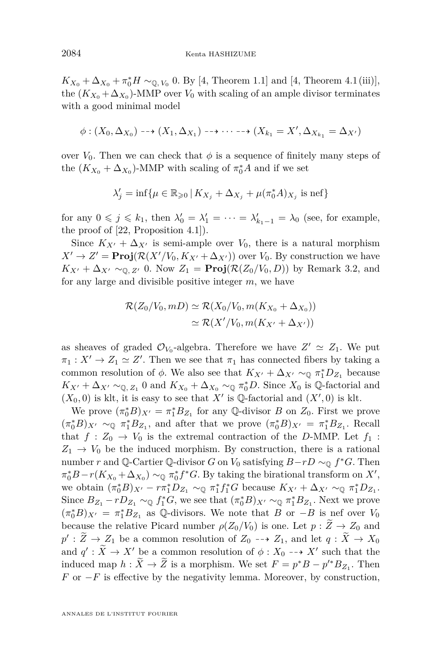$K_{X_0} + \Delta_{X_0} + \pi_0^* H \sim_{\mathbb{Q}, V_0} 0$ . By [\[4,](#page-38-10) Theorem 1.1] and [4, Theorem 4.1 (iii)], the  $(K_{X_0} + \Delta_{X_0})$ -MMP over  $V_0$  with scaling of an ample divisor terminates with a good minimal model

$$
\phi: (X_0, \Delta_{X_0}) \dashrightarrow (X_1, \Delta_{X_1}) \dashrightarrow \cdots \dashrightarrow (X_{k_1} = X', \Delta_{X_{k_1}} = \Delta_{X'})
$$

over  $V_0$ . Then we can check that  $\phi$  is a sequence of finitely many steps of the  $(K_{X_0} + \Delta_{X_0})$ -MMP with scaling of  $\pi_0^* A$  and if we set

$$
\lambda'_j = \inf \{ \mu \in \mathbb{R}_{\geqslant 0} \, | \, K_{X_j} + \Delta_{X_j} + \mu(\pi_0^* A)_{X_j} \text{ is nef} \}
$$

for any  $0 \leq j \leq k_1$ , then  $\lambda'_0 = \lambda'_1 = \cdots = \lambda'_{k_1-1} = \lambda_0$  (see, for example, the proof of [\[22,](#page-38-14) Proposition 4.1]).

Since  $K_{X'} + \Delta_{X'}$  is semi-ample over  $V_0$ , there is a natural morphism  $X' \to Z' = \text{Proj}(\mathcal{R}(X'/V_0, K_{X'} + \Delta_{X'}))$  over  $V_0$ . By construction we have  $K_{X'} + \Delta_{X'} \sim_{\mathbb{Q}, Z'} 0$ . Now  $Z_1 = \text{Proj}(\mathcal{R}(Z_0/V_0, D))$  by Remark [3.2,](#page-11-2) and for any large and divisible positive integer *m*, we have

$$
\mathcal{R}(Z_0/V_0, mD) \simeq \mathcal{R}(X_0/V_0, m(K_{X_0} + \Delta_{X_0}))
$$
  

$$
\simeq \mathcal{R}(X'/V_0, m(K_{X'} + \Delta_{X'}))
$$

as sheaves of graded  $\mathcal{O}_{V_0}$ -algebra. Therefore we have  $Z' \simeq Z_1$ . We put  $\pi_1: X' \to Z_1 \simeq Z'.$  Then we see that  $\pi_1$  has connected fibers by taking a common resolution of  $\phi$ . We also see that  $K_{X'} + \Delta_{X'} \sim_{\mathbb{Q}} \pi_1^* D_{Z_1}$  because  $K_{X'} + \Delta_{X'} \sim_{\mathbb{Q}, Z_1} 0$  and  $K_{X_0} + \Delta_{X_0} \sim_{\mathbb{Q}} \pi_0^* D$ . Since  $X_0$  is  $\mathbb{Q}$ -factorial and  $(X_0, 0)$  is klt, it is easy to see that X' is Q-factorial and  $(X', 0)$  is klt.

We prove  $(\pi_0^*B)_{X'} = \pi_1^*B_{Z_1}$  for any Q-divisor *B* on  $Z_0$ . First we prove  $(\pi_0^* B)_{X'} \sim_{\mathbb{Q}} \pi_1^* B_{Z_1}$ , and after that we prove  $(\pi_0^* B)_{X'} = \pi_1^* B_{Z_1}$ . Recall that  $f: Z_0 \to V_0$  is the extremal contraction of the *D*-MMP. Let  $f_1$ :  $Z_1 \rightarrow V_0$  be the induced morphism. By construction, there is a rational number *r* and Q-Cartier Q-divisor *G* on  $V_0$  satisfying  $B-rD \sim_\mathbb{Q} f^*G$ . Then  $\pi_0^* B - r(K_{X_0} + \Delta_{X_0}) \sim_{\mathbb{Q}} \pi_0^* f^* G$ . By taking the birational transform on *X'*, we obtain  $(\pi_0^* B)_{X'} - r \pi_1^* D_{Z_1} \sim_{\mathbb{Q}} \pi_1^* f_1^* G$  because  $K_{X'} + \Delta_{X'} \sim_{\mathbb{Q}} \pi_1^* D_{Z_1}$ . Since  $B_{Z_1} - rD_{Z_1} \sim_{\mathbb{Q}} f_1^*G$ , we see that  $(\pi_0^*B)_{X'} \sim_{\mathbb{Q}} \pi_1^*B_{Z_1}$ . Next we prove  $(\pi_0^* B)_{X'} = \pi_1^* B_{Z_1}$  as Q-divisors. We note that *B* or −*B* is nef over *V*<sub>0</sub> because the relative Picard number  $\rho(Z_0/V_0)$  is one. Let  $p : \widetilde{Z} \to Z_0$  and  $p' : \widetilde{Z} \to Z_1$  be a common resolution of  $Z_0 \dashrightarrow Z_1$ , and let  $q : \widetilde{X} \to X_0$ and  $q' : \tilde{X} \to X'$  be a common resolution of  $\phi : X_0 \dashrightarrow X'$  such that the induced map  $h : \widetilde{X} \to \widetilde{Z}$  is a morphism. We set  $F = p^*B - p'^*B_{Z_1}$ . Then *F* or −*F* is effective by the negativity lemma. Moreover, by construction,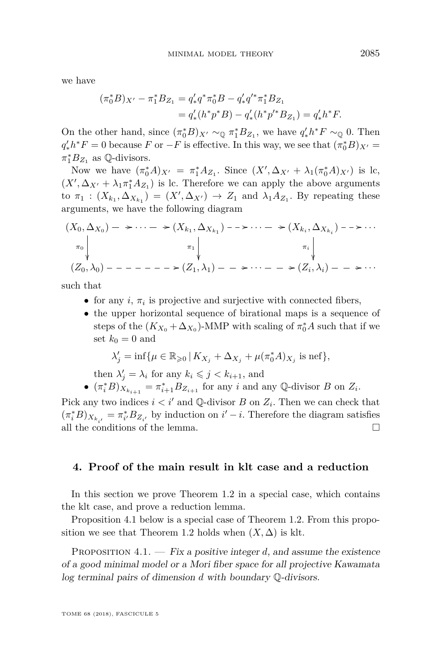we have

$$
\begin{aligned} (\pi_0^* B)_{X'} - \pi_1^* B_{Z_1} &= q'_* q^* \pi_0^* B - q'_* q'^* \pi_1^* B_{Z_1} \\ &= q'_* (h^* p^* B) - q'_* (h^* p'^* B_{Z_1}) = q'_* h^* F. \end{aligned}
$$

On the other hand, since  $(\pi_0^*B)_{X'} \sim_{\mathbb{Q}} \pi_1^*B_{Z_1}$ , we have  $q'_*h^*F \sim_{\mathbb{Q}} 0$ . Then  $q'_{*}h^{*}F = 0$  because *F* or  $-F$  is effective. In this way, we see that  $(\pi_{0}^{*}B)_{X'} =$  $\pi_1^* B_{Z_1}$  as Q-divisors.

Now we have  $(\pi_0^* A)_{X'} = \pi_1^* A_{Z_1}$ . Since  $(X', \Delta_{X'} + \lambda_1(\pi_0^* A)_{X'})$  is lc,  $(X', \Delta_{X'} + \lambda_1 \pi_1^* A_{Z_1})$  is lc. Therefore we can apply the above arguments to  $\pi_1$  :  $(X_{k_1}, \Delta_{X_{k_1}}) = (X', \Delta_{X'}) \rightarrow Z_1$  and  $\lambda_1 A_{Z_1}$ . By repeating these arguments, we have the following diagram

(*X*0*,* ∆*<sup>X</sup>*<sup>0</sup> ) *π*<sup>0</sup> /· · · /(*Xk*<sup>1</sup> *,* ∆*<sup>X</sup>k*<sup>1</sup> ) *π*<sup>1</sup> /· · · /(*Xk<sup>i</sup> ,* ∆*<sup>X</sup>ki* ) *πi* /· · · (*Z*0*, λ*0) /(*Z*1*, λ*1) /· · · /(*Z<sup>i</sup> , λi*) /· · ·

such that

- for any  $i$ ,  $\pi_i$  is projective and surjective with connected fibers,
- the upper horizontal sequence of birational maps is a sequence of steps of the  $(K_{X_0} + \Delta_{X_0})$ -MMP with scaling of  $\pi_0^* A$  such that if we set  $k_0 = 0$  and

$$
\lambda'_j = \inf \{ \mu \in \mathbb{R}_{\geqslant 0} \, | \, K_{X_j} + \Delta_{X_j} + \mu(\pi_0^* A)_{X_j} \text{ is nef} \},
$$

then  $\lambda'_j = \lambda_i$  for any  $k_i \leq j \leq k_{i+1}$ , and

•  $(\pi_i^* B)_{X_{k_{i+1}}} = \pi_{i+1}^* B_{Z_{i+1}}$  for any *i* and any Q-divisor *B* on  $Z_i$ .

Pick any two indices  $i < i'$  and Q-divisor *B* on  $Z_i$ . Then we can check that  $(\pi_i^* B)_{X_{k_{i'}}} = \pi_{i'}^* B_{Z_{i'}}$  by induction on  $i' - i$ . Therefore the diagram satisfies all the conditions of the lemma.  $\Box$ 

#### <span id="page-17-1"></span>**4. Proof of the main result in klt case and a reduction**

In this section we prove Theorem [1.2](#page-2-0) in a special case, which contains the klt case, and prove a reduction lemma.

Proposition [4.1](#page-17-0) below is a special case of Theorem [1.2.](#page-2-0) From this propo-sition we see that Theorem [1.2](#page-2-0) holds when  $(X, \Delta)$  is klt.

<span id="page-17-0"></span>PROPOSITION  $4.1.$  – Fix a positive integer *d*, and assume the existence of a good minimal model or a Mori fiber space for all projective Kawamata log terminal pairs of dimension *d* with boundary Q-divisors.

TOME 68 (2018), FASCICULE 5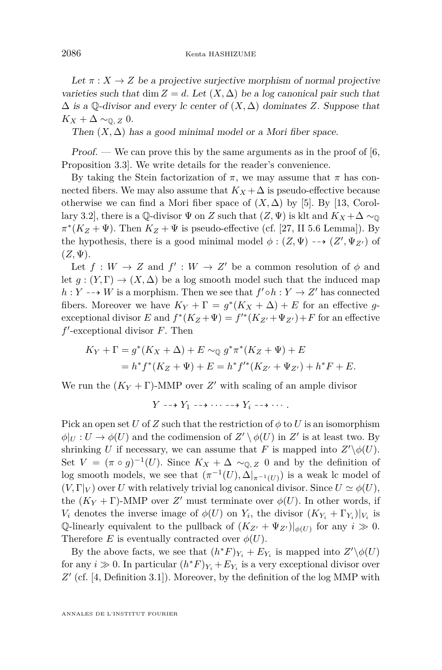Let  $\pi: X \to Z$  be a projective surjective morphism of normal projective varieties such that dim  $Z = d$ . Let  $(X, \Delta)$  be a log canonical pair such that  $\Delta$  is a Q-divisor and every lc center of  $(X, \Delta)$  dominates *Z*. Suppose that  $K_X + \Delta \sim_{\mathbb{Q}, Z} 0.$ 

Then  $(X, \Delta)$  has a good minimal model or a Mori fiber space.

Proof. — We can prove this by the same arguments as in the proof of  $[6, 6]$  $[6, 6]$ Proposition 3.3]. We write details for the reader's convenience.

By taking the Stein factorization of  $π$ , we may assume that  $π$  has connected fibers. We may also assume that  $K_X + \Delta$  is pseudo-effective because otherwise we can find a Mori fiber space of  $(X, \Delta)$  by [\[5\]](#page-38-0). By [\[13,](#page-38-2) Corollary 3.2], there is a  $\mathbb{Q}$ -divisor  $\Psi$  on *Z* such that  $(Z, \Psi)$  is klt and  $K_X + \Delta \sim_{\mathbb{Q}}$  $\pi^*(K_Z + \Psi)$ . Then  $K_Z + \Psi$  is pseudo-effective (cf. [\[27,](#page-39-2) II 5.6 Lemma]). By the hypothesis, there is a good minimal model  $\phi : (Z, \Psi) \dashrightarrow (Z', \Psi_{Z'})$  of  $(Z, \Psi)$ .

Let  $f: W \to Z$  and  $f': W \to Z'$  be a common resolution of  $\phi$  and let  $g: (Y, \Gamma) \to (X, \Delta)$  be a log smooth model such that the induced map  $h: Y \dashrightarrow W$  is a morphism. Then we see that  $f' \circ h: Y \to Z'$  has connected fibers. Moreover we have  $K_Y + \Gamma = g^*(K_X + \Delta) + E$  for an effective *g*exceptional divisor  $E$  and  $f^*(K_Z + \Psi) = f'^*(K_{Z'} + \Psi_{Z'}) + F$  for an effective  $f'$ -exceptional divisor  $F$ . Then

$$
K_Y + \Gamma = g^*(K_X + \Delta) + E \sim_{\mathbb{Q}} g^* \pi^*(K_Z + \Psi) + E
$$
  
=  $h^* f^*(K_Z + \Psi) + E = h^* f'^*(K_{Z'} + \Psi_{Z'}) + h^* F + E.$ 

We run the  $(K_Y + \Gamma)$ -MMP over Z' with scaling of an ample divisor

$$
Y \dashrightarrow Y_1 \dashrightarrow \cdots \dashrightarrow Y_i \dashrightarrow \cdots.
$$

Pick an open set *U* of *Z* such that the restriction of  $\phi$  to *U* is an isomorphism  $\phi|_U : U \to \phi(U)$  and the codimension of  $Z' \setminus \phi(U)$  in  $Z'$  is at least two. By shrinking *U* if necessary, we can assume that *F* is mapped into  $Z'\setminus \phi(U)$ . Set  $V = (\pi \circ g)^{-1}(U)$ . Since  $K_X + \Delta \sim_{\mathbb{Q}, Z} 0$  and by the definition of log smooth models, we see that  $(\pi^{-1}(U), \Delta|_{\pi^{-1}(U)})$  is a weak lc model of  $(V, \Gamma|_V)$  over *U* with relatively trivial log canonical divisor. Since  $U \simeq \phi(U)$ , the  $(K_Y + \Gamma)$ -MMP over *Z'* must terminate over  $\phi(U)$ . In other words, if *V*<sup>*i*</sup> denotes the inverse image of  $\phi(U)$  on  $Y_i$ , the divisor  $(K_{Y_i} + \Gamma_{Y_i})|_{V_i}$  is Q-linearly equivalent to the pullback of  $(K_{Z'} + \Psi_{Z'})|_{\phi(U)}$  for any  $i \gg 0$ . Therefore *E* is eventually contracted over  $\phi(U)$ .

By the above facts, we see that  $(h^*F)_{Y_i} + E_{Y_i}$  is mapped into  $Z' \setminus \phi(U)$ for any  $i \gg 0$ . In particular  $(h^*F)_{Y_i} + E_{Y_i}$  is a very exceptional divisor over Z' (cf. [\[4,](#page-38-10) Definition 3.1]). Moreover, by the definition of the log MMP with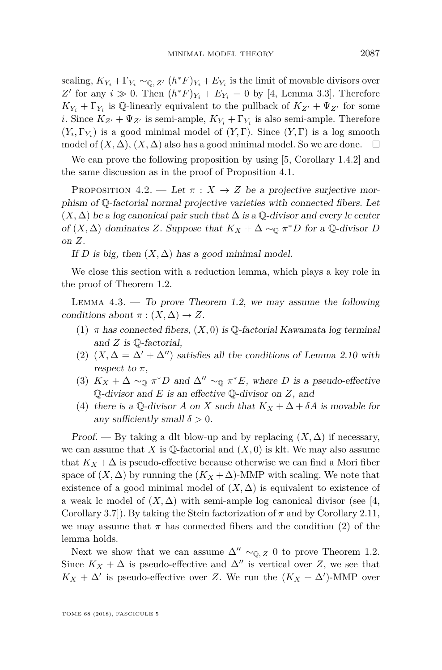scaling,  $K_{Y_i} + \Gamma_{Y_i} \sim_{\mathbb{Q}, Z'} (h^*F)_{Y_i} + E_{Y_i}$  is the limit of movable divisors over Z' for any  $i \gg 0$ . Then  $(h^*F)_{Y_i} + E_{Y_i} = 0$  by [\[4,](#page-38-10) Lemma 3.3]. Therefore  $K_{Y_i} + \Gamma_{Y_i}$  is Q-linearly equivalent to the pullback of  $K_{Z'} + \Psi_{Z'}$  for some *i*. Since  $K_{Z'} + \Psi_{Z'}$  is semi-ample,  $K_{Y_i} + \Gamma_{Y_i}$  is also semi-ample. Therefore  $(Y_i, \Gamma_{Y_i})$  is a good minimal model of  $(Y, \Gamma)$ . Since  $(Y, \Gamma)$  is a log smooth model of  $(X, \Delta)$ ,  $(X, \Delta)$  also has a good minimal model. So we are done.  $\square$ 

We can prove the following proposition by using [\[5,](#page-38-0) Corollary 1.4.2] and the same discussion as in the proof of Proposition [4.1.](#page-17-0)

<span id="page-19-5"></span>PROPOSITION 4.2. — Let  $\pi : X \to Z$  be a projective surjective morphism of Q-factorial normal projective varieties with connected fibers. Let  $(X, \Delta)$  be a log canonical pair such that  $\Delta$  is a  $\mathbb Q$ -divisor and every lc center of  $(X, \Delta)$  dominates *Z*. Suppose that  $K_X + \Delta \sim_{\mathbb{Q}} \pi^* D$  for a  $\mathbb{Q}$ -divisor *D* on *Z*.

If *D* is big, then  $(X, \Delta)$  has a good minimal model.

We close this section with a reduction lemma, which plays a key role in the proof of Theorem [1.2.](#page-2-0)

<span id="page-19-3"></span>LEMMA  $4.3.$  — To prove Theorem [1.2,](#page-2-0) we may assume the following conditions about  $\pi$  :  $(X, \Delta) \rightarrow Z$ .

- <span id="page-19-1"></span>(1)  $\pi$  has connected fibers,  $(X, 0)$  is Q-factorial Kawamata log terminal and *Z* is Q-factorial,
- <span id="page-19-0"></span>(2)  $(X, \Delta = \Delta' + \Delta'')$  satisfies all the conditions of Lemma [2.10](#page-9-3) with respect to  $\pi$ ,
- <span id="page-19-4"></span>(3)  $K_X + \Delta \sim_{\mathbb{Q}} \pi^* D$  and  $\Delta'' \sim_{\mathbb{Q}} \pi^* E$ , where *D* is a pseudo-effective Q-divisor and *E* is an effective Q-divisor on *Z*, and
- <span id="page-19-2"></span>(4) there is a Q-divisor *A* on *X* such that  $K_X + \Delta + \delta A$  is movable for any sufficiently small  $\delta > 0$ .

Proof. — By taking a dlt blow-up and by replacing  $(X, \Delta)$  if necessary, we can assume that *X* is  $\mathbb{Q}$ -factorial and  $(X, 0)$  is klt. We may also assume that  $K_X + \Delta$  is pseudo-effective because otherwise we can find a Mori fiber space of  $(X, \Delta)$  by running the  $(K_X + \Delta)$ -MMP with scaling. We note that existence of a good minimal model of  $(X, \Delta)$  is equivalent to existence of a weak lc model of  $(X, \Delta)$  with semi-ample log canonical divisor (see [\[4,](#page-38-10) Corollary 3.7]). By taking the Stein factorization of  $\pi$  and by Corollary [2.11,](#page-10-1) we may assume that  $\pi$  has connected fibers and the condition [\(2\)](#page-19-0) of the lemma holds.

Next we show that we can assume  $\Delta'' \sim_{\mathbb{Q}, Z} 0$  to prove Theorem [1.2.](#page-2-0) Since  $K_X + \Delta$  is pseudo-effective and  $\Delta''$  is vertical over *Z*, we see that  $K_X + \Delta'$  is pseudo-effective over *Z*. We run the  $(K_X + \Delta')$ -MMP over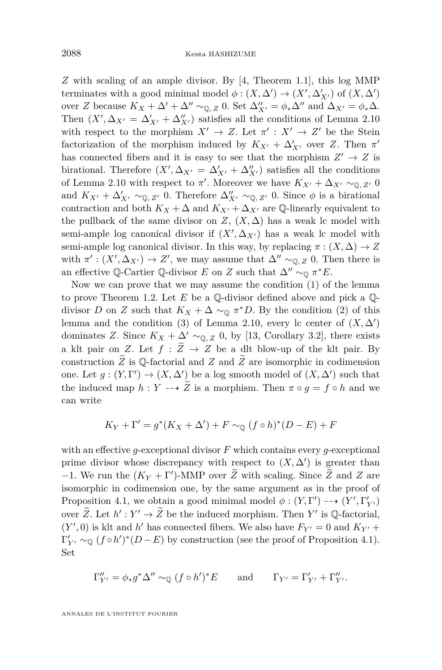*Z* with scaling of an ample divisor. By [\[4,](#page-38-10) Theorem 1.1], this log MMP terminates with a good minimal model  $\phi : (X, \Delta') \to (X', \Delta'_{X'})$  of  $(X, \Delta')$ over *Z* because  $K_X + \Delta' + \Delta'' \sim_{\mathbb{Q}, Z} 0$ . Set  $\Delta''_{X'} = \phi_* \Delta''$  and  $\Delta_{X'} = \phi_* \Delta$ . Then  $(X', \Delta_{X'} = \Delta'_{X'} + \Delta''_{X'})$  satisfies all the conditions of Lemma [2.10](#page-9-3) with respect to the morphism  $X' \to Z$ . Let  $\pi' : X' \to Z'$  be the Stein factorization of the morphism induced by  $K_{X'} + \Delta'_{X'}$  over *Z*. Then  $\pi'$ has connected fibers and it is easy to see that the morphism  $Z' \to Z$  is birational. Therefore  $(X', \Delta_{X'} = \Delta'_{X'} + \Delta''_{X'})$  satisfies all the conditions of Lemma [2.10](#page-9-3) with respect to  $\pi'$ . Moreover we have  $K_{X'} + \Delta_{X'} \sim_{\mathbb{Q}, Z'} 0$ and  $K_{X'} + \Delta'_{X'} \sim_{\mathbb{Q}, Z'} 0$ . Therefore  $\Delta''_{X'} \sim_{\mathbb{Q}, Z'} 0$ . Since  $\phi$  is a birational contraction and both  $K_X + \Delta$  and  $K_{X'} + \Delta_{X'}$  are Q-linearly equivalent to the pullback of the same divisor on  $Z$ ,  $(X, \Delta)$  has a weak lc model with semi-ample log canonical divisor if  $(X', \Delta_{X'})$  has a weak lc model with semi-ample log canonical divisor. In this way, by replacing  $\pi : (X, \Delta) \to Z$ with  $\pi': (X', \Delta_{X'}) \to Z'$ , we may assume that  $\Delta'' \sim_{\mathbb{Q}, Z} 0$ . Then there is an effective Q-Cartier Q-divisor *E* on *Z* such that  $\Delta'' \sim_{\mathbb{Q}} \pi^* E$ .

Now we can prove that we may assume the condition [\(1\)](#page-19-1) of the lemma to prove Theorem [1.2.](#page-2-0) Let *E* be a Q-divisor defined above and pick a Qdivisor *D* on *Z* such that  $K_X + \Delta \sim_{\mathbb{Q}} \pi^*D$ . By the condition [\(2\)](#page-19-0) of this lemma and the condition [\(3\)](#page-9-2) of Lemma [2.10,](#page-9-3) every lc center of  $(X, \Delta)$ dominates *Z*. Since  $K_X + \Delta' \sim_{\mathbb{Q}, Z} 0$ , by [\[13,](#page-38-2) Corollary 3.2], there exists a klt pair on *Z*. Let  $f : \widetilde{Z} \to Z$  be a dlt blow-up of the klt pair. By construction  $\overline{Z}$  is  $\mathbb Q$ -factorial and  $\overline{Z}$  and  $\overline{Z}$  are isomorphic in codimension one. Let  $g: (Y, \Gamma') \to (X, \Delta')$  be a log smooth model of  $(X, \Delta')$  such that the induced map  $h: Y \dashrightarrow Z$  is a morphism. Then  $\pi \circ q = f \circ h$  and we can write

$$
K_Y + \Gamma' = g^*(K_X + \Delta') + F \sim_{\mathbb{Q}} (f \circ h)^*(D - E) + F
$$

with an effective *g*-exceptional divisor *F* which contains every *g*-exceptional prime divisor whose discrepancy with respect to  $(X, \Delta')$  is greater than −1. We run the  $(K_Y + \Gamma')$ -MMP over  $\widetilde{Z}$  with scaling. Since  $\widetilde{Z}$  and  $Z$  are isomorphic in codimension one, by the same argument as in the proof of Proposition [4.1,](#page-17-0) we obtain a good minimal model  $\phi : (Y, \Gamma') \dashrightarrow (Y', \Gamma'_{Y'})$ over  $\widetilde{Z}$ . Let  $h': Y' \to \widetilde{Z}$  be the induced morphism. Then  $Y'$  is  $\mathbb{Q}$ -factorial,  $(Y', 0)$  is klt and *h*<sup> $\prime$ </sup> has connected fibers. We also have  $F_{Y'} = 0$  and  $K_{Y'} +$  $\Gamma'_{Y'} \sim_{\mathbb{Q}} (f \circ h')^*(D - E)$  by construction (see the proof of Proposition [4.1\)](#page-17-0). Set

$$
\Gamma^{\prime\prime}_{Y^\prime}=\phi_*g^*\Delta^{\prime\prime}\sim_\mathbb{Q} (f\circ h^\prime)^*E\qquad\text{and}\qquad \Gamma_{Y^\prime}=\Gamma^{\prime}_{Y^\prime}+\Gamma^{\prime\prime}_{Y^\prime}.
$$

ANNALES DE L'INSTITUT FOURIER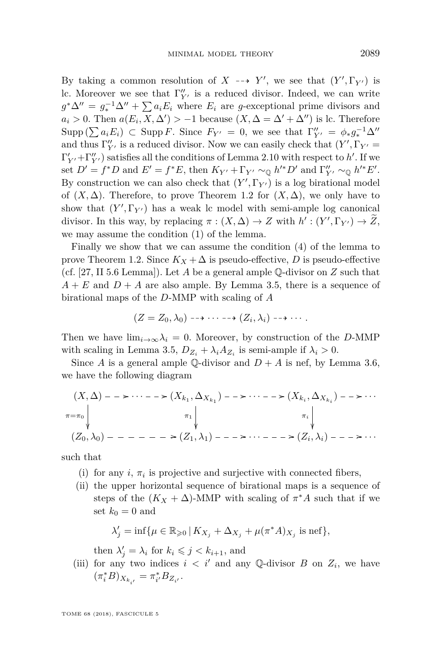By taking a common resolution of  $X \dashrightarrow Y'$ , we see that  $(Y', \Gamma_{Y'})$  is lc. Moreover we see that  $\Gamma''_{Y}$  is a reduced divisor. Indeed, we can write  $g^*\Delta'' = g_*^{-1}\Delta'' + \sum a_i E_i$  where  $E_i$  are *g*-exceptional prime divisors and  $a_i > 0$ . Then  $a(E_i, X, \Delta') > -1$  because  $(X, \Delta = \Delta' + \Delta'')$  is lc. Therefore  $\text{Supp } (\sum a_i E_i) \subset \text{Supp } F.$  Since  $F_{Y'} = 0$ , we see that  $\Gamma''_{Y'} = \phi_* g_*^{-1} \Delta''$ and thus  $\Gamma''_{Y'}$  is a reduced divisor. Now we can easily check that  $(Y', \Gamma_{Y'} =$  $\Gamma'_{Y'} + \Gamma''_{Y'}$  satisfies all the conditions of Lemma [2.10](#page-9-3) with respect to  $h'$ . If we set  $D' = f^*D$  and  $E' = f^*E$ , then  $K_{Y'} + \Gamma_{Y'} \sim_{\mathbb{Q}} h'^*D'$  and  $\Gamma''_{Y'} \sim_{\mathbb{Q}} h'^*E'$ . By construction we can also check that  $(Y', \Gamma_{Y'})$  is a log birational model of  $(X, \Delta)$ . Therefore, to prove Theorem [1.2](#page-2-0) for  $(X, \Delta)$ , we only have to show that  $(Y', \Gamma_{Y'})$  has a weak lc model with semi-ample log canonical divisor. In this way, by replacing  $\pi : (X, \Delta) \to Z$  with  $h' : (Y', \Gamma_{Y'}) \to Z$ , we may assume the condition [\(1\)](#page-19-1) of the lemma.

Finally we show that we can assume the condition [\(4\)](#page-19-2) of the lemma to prove Theorem [1.2.](#page-2-0) Since  $K_X + \Delta$  is pseudo-effective, *D* is pseudo-effective (cf. [\[27,](#page-39-2) II 5.6 Lemma]). Let *A* be a general ample Q-divisor on *Z* such that  $A + E$  and  $D + A$  are also ample. By Lemma [3.5,](#page-12-0) there is a sequence of birational maps of the *D*-MMP with scaling of *A*

$$
(Z = Z_0, \lambda_0) \dashrightarrow \cdots \dashrightarrow (Z_i, \lambda_i) \dashrightarrow \cdots.
$$

Then we have  $\lim_{i\to\infty}\lambda_i=0$ . Moreover, by construction of the *D*-MMP with scaling in Lemma [3.5,](#page-12-0)  $D_{Z_i} + \lambda_i A_{Z_i}$  is semi-ample if  $\lambda_i > 0$ .

Since *A* is a general ample Q-divisor and  $D + A$  is nef, by Lemma [3.6,](#page-13-0) we have the following diagram

$$
(X, \Delta) - \longrightarrow \cdots - \longrightarrow (X_{k_1}, \Delta_{X_{k_1}}) - \longrightarrow \cdots - \longrightarrow (X_{k_i}, \Delta_{X_{k_i}}) - \longrightarrow \cdots
$$
  

$$
\pi = \pi_0 \downarrow \qquad \pi_1 \downarrow \qquad \pi_i \downarrow \qquad \pi_i \downarrow
$$
  

$$
(Z_0, \lambda_0) - - - - - - \longrightarrow (Z_1, \lambda_1) - - \longrightarrow \cdots - - \longrightarrow (Z_i, \lambda_i) - - \longrightarrow \cdots
$$

such that

- (i) for any  $i$ ,  $\pi_i$  is projective and surjective with connected fibers,
- (ii) the upper horizontal sequence of birational maps is a sequence of steps of the  $(K_X + \Delta)$ -MMP with scaling of  $\pi^* A$  such that if we set  $k_0 = 0$  and

$$
\lambda'_j = \inf \{ \mu \in \mathbb{R}_{\geqslant 0} \, | \, K_{X_j} + \Delta_{X_j} + \mu(\pi^* A)_{X_j} \text{ is nef} \},\
$$

then  $\lambda'_j = \lambda_i$  for  $k_i \leq j \leq k_{i+1}$ , and

<span id="page-21-0"></span>(iii) for any two indices  $i < i'$  and any Q-divisor *B* on  $Z_i$ , we have  $(\pi_i^* B)_{X_{k_{i'}}} = \pi_{i'}^* B_{Z_{i'}}.$ 

TOME 68 (2018), FASCICULE 5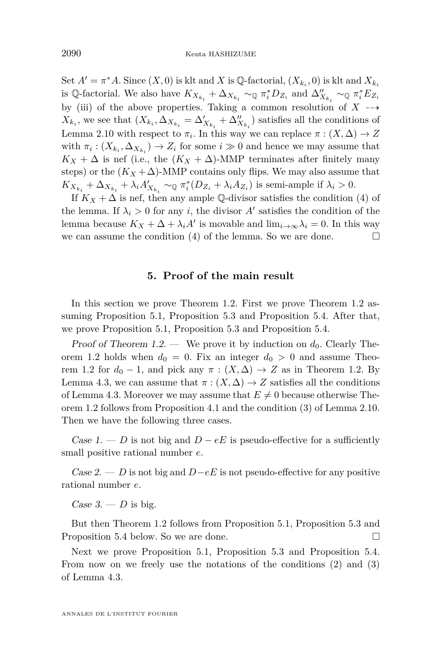Set  $A' = \pi^*A$ . Since  $(X, 0)$  is klt and *X* is Q-factorial,  $(X_{k_i}, 0)$  is klt and  $X_{k_i}$ is Q-factorial. We also have  $K_{X_{k_i}} + \Delta_{X_{k_i}} \sim_{\mathbb{Q}} \pi_i^* D_{Z_i}$  and  $\Delta''_{X_{k_i}} \sim_{\mathbb{Q}} \pi_i^* E_{Z_i}$ by [\(iii\)](#page-21-0) of the above properties. Taking a common resolution of  $X \rightarrow$  $X_{k_i}$ , we see that  $(X_{k_i}, \Delta_{X_{k_i}} = \Delta'_{X_{k_i}} + \Delta''_{X_{k_i}})$  satisfies all the conditions of Lemma [2.10](#page-9-3) with respect to  $\pi_i$ . In this way we can replace  $\pi : (X, \Delta) \to Z$ with  $\pi_i$ :  $(X_{k_i}, \Delta_{X_{k_i}}) \to Z_i$  for some  $i \gg 0$  and hence we may assume that  $K_X + \Delta$  is nef (i.e., the  $(K_X + \Delta)$ -MMP terminates after finitely many steps) or the  $(K_X + \Delta)$ -MMP contains only flips. We may also assume that  $K_{X_{k_i}} + \Delta_{X_{k_i}} + \lambda_i A'_{X_{k_i}} \sim_{\mathbb{Q}} \pi_i^*(D_{Z_i} + \lambda_i A_{Z_i})$  is semi-ample if  $\lambda_i > 0$ .

If  $K_X + \Delta$  is nef, then any ample Q-divisor satisfies the condition [\(4\)](#page-19-2) of the lemma. If  $\lambda_i > 0$  for any *i*, the divisor  $A'$  satisfies the condition of the lemma because  $K_X + \Delta + \lambda_i A'$  is movable and  $\lim_{i \to \infty} \lambda_i = 0$ . In this way we can assume the condition [\(4\)](#page-19-2) of the lemma. So we are done.  $\Box$ 

#### **5. Proof of the main result**

<span id="page-22-0"></span>In this section we prove Theorem [1.2.](#page-2-0) First we prove Theorem [1.2](#page-2-0) assuming Proposition [5.1,](#page-23-0) Proposition [5.3](#page-28-0) and Proposition [5.4.](#page-32-0) After that, we prove Proposition [5.1,](#page-23-0) Proposition [5.3](#page-28-0) and Proposition [5.4.](#page-32-0)

Proof of Theorem [1.2.](#page-2-0) — We prove it by induction on  $d_0$ . Clearly The-orem [1.2](#page-2-0) holds when  $d_0 = 0$ . Fix an integer  $d_0 > 0$  and assume Theo-rem [1.2](#page-2-0) for  $d_0 - 1$ , and pick any  $\pi : (X, \Delta) \to Z$  as in Theorem [1.2.](#page-2-0) By Lemma [4.3,](#page-19-3) we can assume that  $\pi$  :  $(X, \Delta) \rightarrow Z$  satisfies all the conditions of Lemma [4.3.](#page-19-3) Moreover we may assume that  $E \neq 0$  because otherwise Theorem [1.2](#page-2-0) follows from Proposition [4.1](#page-17-0) and the condition [\(3\)](#page-9-2) of Lemma [2.10.](#page-9-3) Then we have the following three cases.

Case 1. — *D* is not big and  $D - eE$  is pseudo-effective for a sufficiently small positive rational number *e*.

Case 2. — *D* is not big and *D*−*eE* is not pseudo-effective for any positive rational number *e*.

<span id="page-22-1"></span>Case  $3. - D$  is big.

But then Theorem [1.2](#page-2-0) follows from Proposition [5.1,](#page-23-0) Proposition [5.3](#page-28-0) and Proposition [5.4](#page-32-0) below. So we are done.

Next we prove Proposition [5.1,](#page-23-0) Proposition [5.3](#page-28-0) and Proposition [5.4.](#page-32-0) From now on we freely use the notations of the conditions  $(2)$  and  $(3)$ of Lemma [4.3.](#page-19-3)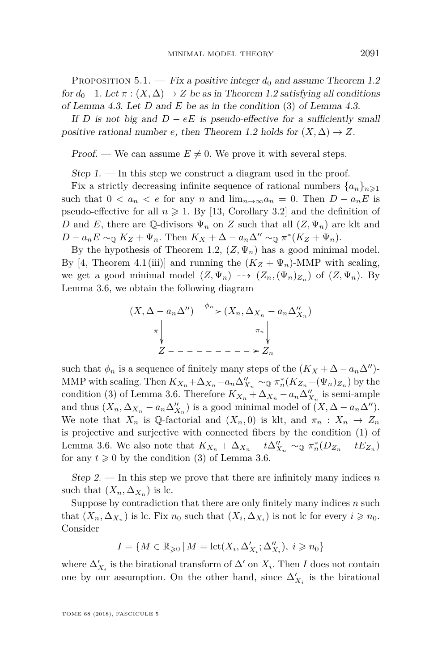<span id="page-23-0"></span>PROPOSITION 5.1. — Fix a positive integer  $d_0$  and assume Theorem [1.2](#page-2-0) for  $d_0-1$ . Let  $\pi$  :  $(X, \Delta) \rightarrow Z$  be as in Theorem [1.2](#page-2-0) satisfying all conditions of Lemma [4.3.](#page-19-3) Let *D* and *E* be as in the condition [\(3\)](#page-19-4) of Lemma [4.3.](#page-19-3)

If *D* is not big and  $D - eE$  is pseudo-effective for a sufficiently small positive rational number *e*, then Theorem [1.2](#page-2-0) holds for  $(X, \Delta) \rightarrow Z$ .

Proof. — We can assume  $E \neq 0$ . We prove it with several steps.

<span id="page-23-1"></span>Step  $1.$  — In this step we construct a diagram used in the proof.

Fix a strictly decreasing infinite sequence of rational numbers  $\{a_n\}_{n\geq 1}$ such that  $0 < a_n < e$  for any *n* and  $\lim_{n\to\infty} a_n = 0$ . Then  $D - a_n E$  is pseudo-effective for all  $n \ge 1$ . By [\[13,](#page-38-2) Corollary 3.2] and the definition of *D* and *E*, there are Q-divisors  $\Psi_n$  on *Z* such that all  $(Z, \Psi_n)$  are klt and  $D - a_n E \sim_{\mathbb{Q}} K_Z + \Psi_n$ . Then  $K_X + \Delta - a_n \Delta'' \sim_{\mathbb{Q}} \pi^*(K_Z + \Psi_n)$ .

By the hypothesis of Theorem [1.2,](#page-2-0)  $(Z, \Psi_n)$  has a good minimal model. By [\[4,](#page-38-10) Theorem 4.1(iii)] and running the  $(K_Z + \Psi_n)$ -MMP with scaling, we get a good minimal model  $(Z, \Psi_n) \dashrightarrow (Z_n, (\Psi_n)_{Z_n})$  of  $(Z, \Psi_n)$ . By Lemma [3.6,](#page-13-0) we obtain the following diagram

$$
(X, \Delta - a_n\Delta'') - \xrightarrow{\phi_n} (X_n, \Delta_{X_n} - a_n\Delta''_{X_n})
$$
  
\n
$$
\pi \downarrow \qquad \pi \downarrow \qquad \pi \downarrow
$$
  
\n
$$
Z - - - - - - - - \geq Z_n
$$

such that  $\phi_n$  is a sequence of finitely many steps of the  $(K_X + \Delta - a_n \Delta'')$ -MMP with scaling. Then  $K_{X_n} + \Delta_{X_n} - a_n \Delta_{X_n}^{\prime\prime} \sim_{\mathbb{Q}} \pi_n^*(K_{Z_n} + (\Psi_n)_{Z_n})$  by the condition [\(3\)](#page-13-1) of Lemma [3.6.](#page-13-0) Therefore  $K_{X_n} + \Delta_{X_n} - a_n \Delta_{X_n}^{\prime\prime}$  is semi-ample and thus  $(X_n, \Delta_{X_n} - a_n \Delta_{X_n}^{\prime\prime})$  is a good minimal model of  $(X, \Delta - a_n \Delta^{\prime\prime})$ . We note that  $X_n$  is Q-factorial and  $(X_n, 0)$  is klt, and  $\pi_n : X_n \to Z_n$ is projective and surjective with connected fibers by the condition [\(1\)](#page-13-2) of Lemma [3.6.](#page-13-0) We also note that  $K_{X_n} + \Delta_{X_n} - t\Delta_{X_n}^{\prime\prime} \sim_{\mathbb{Q}} \pi_n^*(D_{Z_n} - tE_{Z_n})$ for any  $t \geq 0$  by the condition [\(3\)](#page-13-1) of Lemma [3.6.](#page-13-0)

<span id="page-23-2"></span>Step 2. — In this step we prove that there are infinitely many indices *n* such that  $(X_n, \Delta_{X_n})$  is lc.

Suppose by contradiction that there are only finitely many indices *n* such that  $(X_n, \Delta_{X_n})$  is lc. Fix  $n_0$  such that  $(X_i, \Delta_{X_i})$  is not lc for every  $i \geq n_0$ . Consider

$$
I = \{ M \in \mathbb{R}_{\geqslant 0} \, | \, M = \mathrm{lct}(X_i, \Delta'_{X_i}; \Delta''_{X_i}), \ i \geqslant n_0 \}
$$

where  $\Delta'_{X_i}$  is the birational transform of  $\Delta'$  on  $X_i$ . Then *I* does not contain one by our assumption. On the other hand, since  $\Delta'_{X_i}$  is the birational

TOME 68 (2018), FASCICULE 5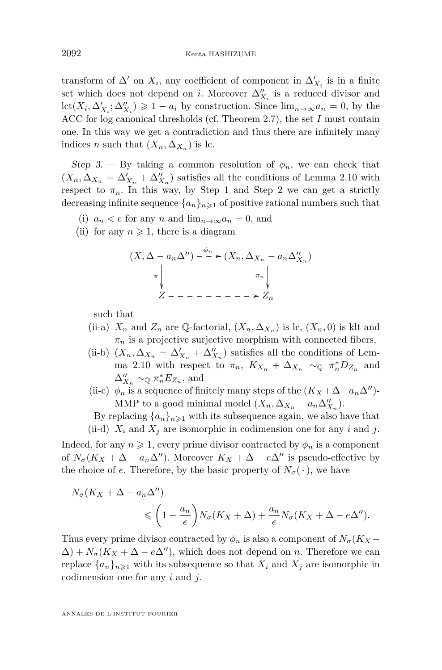transform of  $\Delta'$  on  $X_i$ , any coefficient of component in  $\Delta'_{X_i}$  is in a finite set which does not depend on *i*. Moreover  $\Delta''_{X_i}$  is a reduced divisor and  $\text{lct}(X_i, \Delta'_{X_i}; \Delta''_{X_i}) \geq 1 - a_i$  by construction. Since  $\lim_{n \to \infty} a_n = 0$ , by the ACC for log canonical thresholds (cf. Theorem [2.7\)](#page-8-0), the set *I* must contain one. In this way we get a contradiction and thus there are infinitely many indices *n* such that  $(X_n, \Delta_{X_n})$  is lc.

<span id="page-24-1"></span>Step 3. — By taking a common resolution of  $\phi_n$ , we can check that  $(X_n, \Delta_{X_n} = \Delta'_{X_n} + \Delta''_{X_n})$  satisfies all the conditions of Lemma [2.10](#page-9-3) with respect to  $\pi_n$ . In this way, by Step [1](#page-23-1) and Step [2](#page-23-2) we can get a strictly decreasing infinite sequence  $\{a_n\}_{n\geq 1}$  of positive rational numbers such that

- <span id="page-24-2"></span>(i)  $a_n < e$  for any *n* and  $\lim_{n \to \infty} a_n = 0$ , and
- <span id="page-24-0"></span>(ii) for any  $n \geq 1$ , there is a diagram

$$
(X, \Delta - a_n\Delta'') - \xrightarrow{\phi_n} (X_n, \Delta_{X_n} - a_n\Delta''_{X_n})
$$

$$
\pi \downarrow \qquad \pi \downarrow
$$

$$
Z - - - - - - - - \geq Z_n
$$

such that

- (ii-a)  $X_n$  and  $Z_n$  are Q-factorial,  $(X_n, \Delta_{X_n})$  is lc,  $(X_n, 0)$  is klt and  $\pi_n$  is a projective surjective morphism with connected fibers,
- (ii-b)  $(X_n, \Delta_{X_n} = \Delta'_{X_n} + \Delta''_{X_n})$  satisfies all the conditions of Lem-ma [2.10](#page-9-3) with respect to  $\pi_n$ ,  $K_{X_n} + \Delta_{X_n} \sim_{\mathbb{Q}} \pi_n^* D_{Z_n}$  and  $\Delta''_{X_n} \sim_{\mathbb{Q}} \pi_n^* E_{Z_n}$ , and
- (ii-c)  $\phi_n$  [is](#page-0-0) a sequence of finitely many steps of the  $(K_X + \Delta a_n \Delta'')$ -MMP to a good minimal model  $(X_n, \Delta_{X_n} - a_n \Delta_{X_n}^{"})$ .

By replacing  ${a_n}_{n\geq 1}$  with its subsequence again, we also have that

(ii-d)  $X_i$  and  $X_j$  are isomorphic in codimension one for any  $i$  and  $j$ .

Indeed, for any  $n \geq 1$ , every prime divisor contracted by  $\phi_n$  is a component of  $N_{\sigma}(K_X + \Delta - a_n\Delta'')$ . Moreover  $K_X + \Delta - e\Delta''$  is pseudo-effective by the choice of *e*. Therefore, by the basic property of  $N_{\sigma}(\cdot)$ , we have

$$
N_{\sigma}(K_X + \Delta - a_n \Delta'')
$$
  
\$\leq \left(1 - \frac{a\_n}{e}\right)N\_{\sigma}(K\_X + \Delta) + \frac{a\_n}{e}N\_{\sigma}(K\_X + \Delta - e\Delta'').\$

Thus every prime divisor contracted by  $\phi_n$  is also a component of  $N_{\sigma}(K_X +$  $\Delta$ ) +  $N_{\sigma}(K_X + \Delta - e\Delta'')$ , which does not depend on *n*. Therefore we can replace  $\{a_n\}_{n\geq 1}$  with its subsequence so that  $X_i$  and  $X_j$  are isomorphic in codimension one for any *i* and *j*.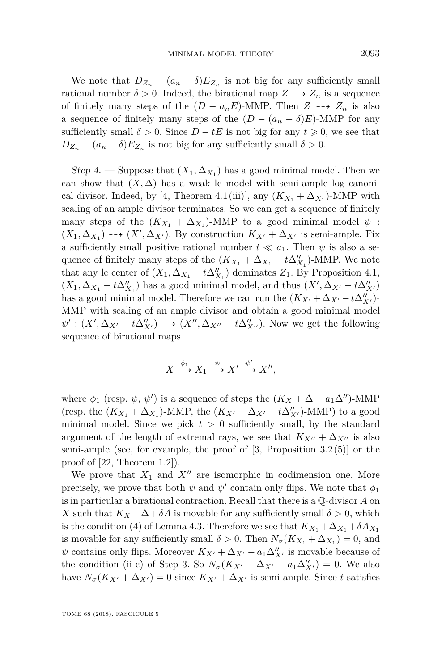We note that  $D_{Z_n} - (a_n - \delta)E_{Z_n}$  is not big for any sufficiently small rational number  $\delta > 0$ . Indeed, the birational map  $Z \rightarrow Z_n$  is a sequence of finitely many steps of the  $(D - a_n E)$ -MMP. Then  $Z \dashrightarrow Z_n$  is also a sequence of finitely many steps of the  $(D - (a_n - \delta)E)$ -MMP for any sufficiently small  $\delta > 0$ . Since  $D - tE$  is not big for any  $t \geq 0$ , we see that  $D_{Z_n} - (a_n - \delta)E_{Z_n}$  is not big for any sufficiently small  $\delta > 0$ .

<span id="page-25-0"></span>Step 4. — Suppose that  $(X_1, \Delta_{X_1})$  has a good minimal model. Then we can show that  $(X, \Delta)$  has a weak lc model with semi-ample log canoni-cal divisor. Indeed, by [\[4,](#page-38-10) Theorem 4.1(iii)], any  $(K_{X_1} + \Delta_{X_1})$ -MMP with scaling of an ample divisor terminates. So we can get a sequence of finitely many steps of the  $(K_{X_1} + \Delta_{X_1})$ -MMP to a good minimal model  $\psi$ :  $(X_1, \Delta_{X_1}) \dashrightarrow (X', \Delta_{X'})$ . By construction  $K_{X'} + \Delta_{X'}$  is semi-ample. Fix a sufficiently small positive rational number  $t \ll a_1$ . Then  $\psi$  is also a sequence of finitely many steps of the  $(K_{X_1} + \Delta_{X_1} - t\Delta_{X_1}^{\prime\prime})$ -MMP. We note that any lc center of  $(X_1, \Delta_{X_1} - t\Delta_{X_1}^{\prime\prime})$  dominates  $Z_1$ . By Proposition [4.1,](#page-17-0)  $(X_1, \Delta_{X_1} - t\Delta_{X_1}'')$  has a good minimal model, and thus  $(X', \Delta_{X'} - t\Delta_{X'}'')$ has a good minimal model. Therefore we can run the  $(K_{X'} + \Delta_{X'} - t\Delta_{X'}'')$ -MMP with scaling of an ample divisor and obtain a good minimal model  $\psi': (X', \Delta_{X'} - t\Delta''_{X'}) \dashrightarrow (X'', \Delta_{X''} - t\Delta''_{X''}).$  Now we get the following sequence of birational maps

$$
X \xrightarrow{\phi_1} X_1 \xrightarrow{\psi} X' \xrightarrow{\psi'} X'',
$$

where  $\phi_1$  (resp.  $\psi$ ,  $\psi'$ ) is a sequence of steps the  $(K_X + \Delta - a_1 \Delta'')$ -MMP (resp. the  $(K_{X_1} + \Delta_{X_1})$ -MMP, the  $(K_{X'} + \Delta_{X'} - t\Delta''_{X'})$ -MMP) to a good minimal model. Since we pick  $t > 0$  sufficiently small, by the standard argument of the length of extremal rays, we see that  $K_{X''} + \Delta_{X''}$  is also semi-ample (see, for example, the proof of  $[3,$  Proposition  $3.2(5)$ ) or the proof of [\[22,](#page-38-14) Theorem 1.2]).

We prove that  $X_1$  and  $X''$  are isomorphic in codimension one. More precisely, we prove that both  $\psi$  and  $\psi'$  contain only flips. We note that  $\phi_1$ is in particular a birational contraction. Recall that there is a Q-divisor *A* on *X* such that  $K_X + \Delta + \delta A$  is movable for any sufficiently small  $\delta > 0$ , which is the condition [\(4\)](#page-19-2) of Lemma [4.3.](#page-19-3) Therefore we see that  $K_{X_1} + \Delta_{X_1} + \delta A_{X_1}$ is movable for any sufficiently small  $\delta > 0$ . Then  $N_{\sigma}(K_{X_1} + \Delta_{X_1}) = 0$ , and  $\psi$  contains only flips. Moreover  $K_{X'} + \Delta_{X'} - a_1 \Delta_{X'}''$  is movable because of the condition [\(ii-](#page-24-0)c) of Step [3.](#page-24-1) So  $N_{\sigma}(K_{X'} + \Delta_{X'} - a_1 \Delta''_{X'}) = 0$ . We also have  $N_{\sigma}(K_{X'}+\Delta_{X'})=0$  since  $K_{X'}+\Delta_{X'}$  is semi-ample. Since t satisfies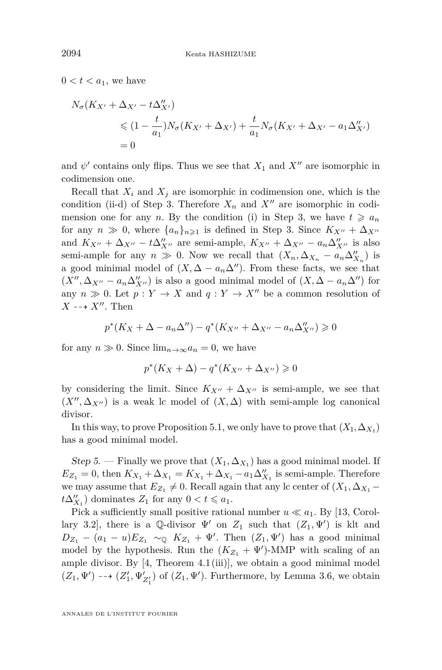$0 < t < a_1$ , we have

$$
N_{\sigma}(K_{X'} + \Delta_{X'} - t\Delta''_{X'})
$$
  
\$\leq (1 - \frac{t}{a\_1})N\_{\sigma}(K\_{X'} + \Delta\_{X'}) + \frac{t}{a\_1}N\_{\sigma}(K\_{X'} + \Delta\_{X'} - a\_1\Delta''\_{X'})\$  
= 0

and  $\psi'$  contains only flips. Thus we see that  $X_1$  and  $X''$  are isomorphic in codimension one.

Recall that  $X_i$  and  $X_j$  are isomorphic in codimension one, which is the condition [\(ii-](#page-24-0)d) of Step [3.](#page-24-1) Therefore  $X_n$  and  $X''$  are isomorphic in codimension one for any *n*. By the condition [\(i\)](#page-24-2) in Step [3,](#page-24-1) we have  $t \geq a_n$ for any  $n \gg 0$ , where  $\{a_n\}_{n\geq 1}$  is defined in Step [3.](#page-24-1) Since  $K_{X''} + \Delta_{X''}$ and  $K_{X''} + \Delta_{X''} - t\Delta_{X''}''$  are semi-ample,  $K_{X''} + \Delta_{X''} - a_n\Delta_{X''}''$  is also semi-ample for any  $n \gg 0$ . Now we recall that  $(X_n, \Delta_{X_n} - a_n \Delta_{X_n}^{\prime\prime})$  is a good minimal model of  $(X, \Delta - a_n\Delta'')$ . From these facts, we see that  $(X'', \Delta_{X''} - a_n \Delta''_{X''})$  is also a good minimal model of  $(X, \Delta - a_n \Delta'')$  for any  $n \gg 0$ . Let  $p: Y \to X$  and  $q: Y \to X''$  be a common resolution of  $X \dashrightarrow X''$ . Then

$$
p^*(K_X+\Delta-a_n\Delta'')-q^*(K_{X''}+\Delta_{X''}-a_n\Delta''_{X''})\geq 0
$$

for any  $n \gg 0$ . Since  $\lim_{n \to \infty} a_n = 0$ , we have

$$
p^*(K_X + \Delta) - q^*(K_{X''} + \Delta_{X''}) \geq 0
$$

by considering the limit. Since  $K_{X''} + \Delta_{X''}$  is semi-ample, we see that  $(X'', \Delta_{X''})$  is a weak lc model of  $(X, \Delta)$  with semi-ample log canonical divisor.

In this way, to prove Proposition [5.1,](#page-23-0) we only have to prove that  $(X_1, \Delta_{X_1})$ has a good minimal model.

<span id="page-26-0"></span>Step 5. — Finally we prove that  $(X_1, \Delta_{X_1})$  has a good minimal model. If  $E_{Z_1} = 0$ , then  $K_{X_1} + \Delta_{X_1} = K_{X_1} + \Delta_{X_1} - a_1 \Delta_{X_1}''$  is semi-ample. Therefore we may assume that  $E_{Z_1} \neq 0$ . Recall again that any lc center of  $(X_1, \Delta_{X_1}$  $t\Delta_{X_1}''$ ) dominates  $Z_1$  for any  $0 < t \leq a_1$ .

Pick a sufficiently small positive rational number  $u \ll a_1$ . By [\[13,](#page-38-2) Corollary 3.2], there is a Q-divisor  $\Psi'$  on  $Z_1$  such that  $(Z_1, \Psi')$  is klt and  $D_{Z_1} - (a_1 - u)E_{Z_1} \sim_{\mathbb{Q}} K_{Z_1} + \Psi'$ . Then  $(Z_1, \Psi')$  has a good minimal model by the hypothesis. Run the  $(K_{Z_1} + \Psi')$ -MMP with scaling of an ample divisor. By  $[4,$  Theorem  $4.1$  (iii)], we obtain a good minimal model  $(Z_1, \Psi') \dashrightarrow (Z'_1, \Psi'_{Z'_1})$  of  $(Z_1, \Psi')$ . Furthermore, by Lemma [3.6,](#page-13-0) we obtain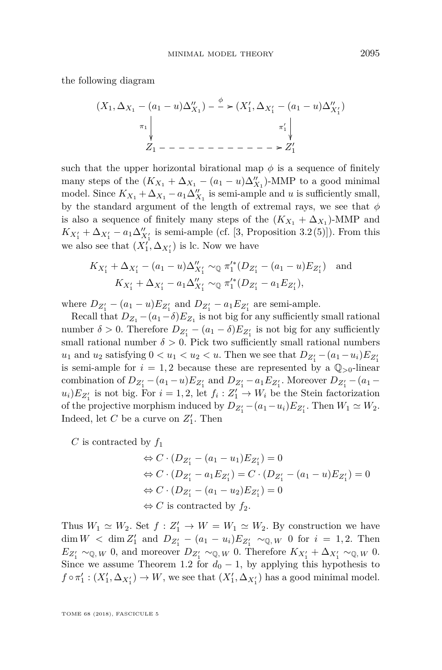the following diagram

(*X*1*,* ∆*X*<sup>1</sup> − (*a*<sup>1</sup> − *u*)∆<sup>00</sup> *X*<sup>1</sup> ) *π*<sup>1</sup> *φ* /(*X*<sup>0</sup> 1 *,* ∆*X*<sup>0</sup> 1 − (*a*<sup>1</sup> − *u*)∆<sup>00</sup> *X*<sup>0</sup> 1 ) *π* 0 1 *Z*1 /*Z* 0 1

such that the upper horizontal birational map  $\phi$  is a sequence of finitely many steps of the  $(K_{X_1} + \Delta_{X_1} - (a_1 - u)\Delta_{X_1}^{"})$ -MMP to a good minimal model. Since  $K_{X_1} + \Delta_{X_1} - a_1 \Delta_{X_1}''$  is semi-ample and *u* is sufficiently small, by the standard argument of the length of extremal rays, we see that *φ* is also a sequence of finitely many steps of the  $(K_{X_1} + \Delta_{X_1})$ -MMP and  $K_{X_1'} + \Delta_{X_1'} - a_1 \Delta_{X_1'}''$  is semi-ample (cf. [\[3,](#page-38-15) Proposition 3.2(5)]). From this we also see that  $(X_1', \Delta_{X_1'})$  is lc. Now we have

$$
K_{X'_1} + \Delta_{X'_1} - (a_1 - u)\Delta''_{X'_1} \sim_{\mathbb{Q}} \pi_1'^*(D_{Z'_1} - (a_1 - u)E_{Z'_1}) \text{ and}
$$
  

$$
K_{X'_1} + \Delta_{X'_1} - a_1\Delta''_{X'_1} \sim_{\mathbb{Q}} \pi_1'^*(D_{Z'_1} - a_1E_{Z'_1}),
$$

where  $D_{Z'_1} - (a_1 - u)E_{Z'_1}$  and  $D_{Z'_1} - a_1E_{Z'_1}$  are semi-ample.

Recall that  $D_{Z_1} - (a_1 - \delta)E_{Z_1}$  is not big for any sufficiently small rational number  $\delta > 0$ . Therefore  $D_{Z'_1} - (a_1 - \delta)E_{Z'_1}$  is not big for any sufficiently small rational number  $\delta > 0$ . Pick two sufficiently small rational numbers  $u_1$  and  $u_2$  satisfying  $0 < u_1 < u_2 < u$ . Then we see that  $D_{Z'_1} - (a_1 - u_i)E_{Z'_1}$ is semi-ample for  $i = 1, 2$  because these are represented by a  $\mathbb{Q}_{>0}$ -linear combination of  $D_{Z'_1} - (a_1 - u)E_{Z'_1}$  and  $D_{Z'_1} - a_1E_{Z'_1}$ . Moreover  $D_{Z'_1} - (a_1 - u)E_{Z'_1}$  $u_i$ ) $E_{Z'_1}$  is not big. For  $i = 1, 2$ , let  $f_i : Z'_1 \to W_i$  be the Stein factorization of the projective morphism induced by  $D_{Z'_1} - (a_1 - u_i)E_{Z'_1}$ . Then  $W_1 \simeq W_2$ . Indeed, let  $C$  be a curve on  $Z'_1$ . Then

*C* is contracted by  $f_1$ 

$$
\Leftrightarrow C \cdot (D_{Z'_1} - (a_1 - u_1)E_{Z'_1}) = 0
$$
  
\n
$$
\Leftrightarrow C \cdot (D_{Z'_1} - a_1 E_{Z'_1}) = C \cdot (D_{Z'_1} - (a_1 - u)E_{Z'_1}) = 0
$$
  
\n
$$
\Leftrightarrow C \cdot (D_{Z'_1} - (a_1 - u_2)E_{Z'_1}) = 0
$$
  
\n
$$
\Leftrightarrow C \text{ is contracted by } f_2.
$$

Thus  $W_1 \simeq W_2$ . Set  $f : Z'_1 \to W = W_1 \simeq W_2$ . By construction we have  $\dim W$  <  $\dim Z'_1$  and  $D_{Z'_1} - (a_1 - u_i)E_{Z'_1} \sim_{\mathbb{Q},W} 0$  for  $i = 1,2$ . Then  $E_{Z'_1} \sim_{\mathbb{Q},W} 0$ , and moreover  $D_{Z'_1} \sim_{\mathbb{Q},W} 0$ . Therefore  $K_{X'_1} + \Delta_{X'_1} \sim_{\mathbb{Q},W} 0$ . Since we assume Theorem [1.2](#page-2-0) for  $d_0 - 1$ , by applying this hypothesis to  $f \circ \pi'_1 : (X'_1, \Delta_{X'_1}) \to W$ , we see that  $(X'_1, \Delta_{X'_1})$  has a good minimal model.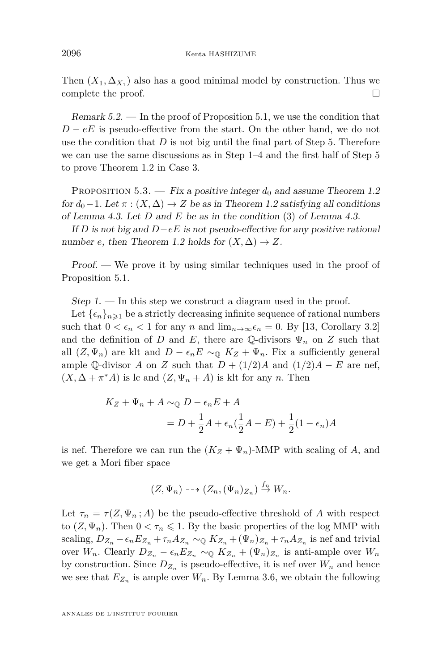Then  $(X_1, \Delta_{X_1})$  also has a good minimal model by construction. Thus we complete the proof.

<span id="page-28-2"></span>Remark  $5.2.$  — In the proof of Proposition [5.1,](#page-23-0) we use the condition that  $D - eE$  is pseudo-effective from the start. On the other hand, we do not use the condition that *D* is not big until the final part of Step [5.](#page-26-0) Therefore we can use the same discussions as in Step [1](#page-23-1)[–4](#page-25-0) and the first half of Step [5](#page-26-0) to prove Theorem [1.2](#page-2-0) in Case [3.](#page-22-1)

<span id="page-28-0"></span>PROPOSITION 5.3. — Fix a positive integer  $d_0$  and assume Theorem [1.2](#page-2-0) for  $d_0$  – 1. Let  $\pi$  :  $(X, \Delta)$  → *Z* be as in Theorem [1.2](#page-2-0) satisfying all conditions of Lemma [4.3.](#page-19-3) Let *D* and *E* be as in the condition [\(3\)](#page-19-4) of Lemma [4.3.](#page-19-3)

If *D* is not big and  $D - eE$  is not pseudo-effective for any positive rational number *e*, then Theorem [1.2](#page-2-0) holds for  $(X, \Delta) \rightarrow Z$ .

Proof. — We prove it by using similar techniques used in the proof of Proposition [5.1.](#page-23-0)

<span id="page-28-1"></span> $Step 1.$  — In this step we construct a diagram used in the proof.

Let  $\{\epsilon_n\}_{n\geq 1}$  be a strictly decreasing infinite sequence of rational numbers such that  $0 < \epsilon_n < 1$  for any *n* and  $\lim_{n\to\infty} \epsilon_n = 0$ . By [\[13,](#page-38-2) Corollary 3.2] and the definition of *D* and *E*, there are Q-divisors  $\Psi_n$  on *Z* such that all  $(Z, \Psi_n)$  are klt and  $D - \epsilon_n E \sim_{\mathbb{Q}} K_Z + \Psi_n$ . Fix a sufficiently general ample Q-divisor *A* on *Z* such that  $D + (1/2)A$  and  $(1/2)A - E$  are nef,  $(X, \Delta + \pi^*A)$  is lc and  $(Z, \Psi_n + A)$  is klt for any *n*. Then

$$
K_Z + \Psi_n + A \sim_{\mathbb{Q}} D - \epsilon_n E + A
$$
  
= 
$$
D + \frac{1}{2}A + \epsilon_n(\frac{1}{2}A - E) + \frac{1}{2}(1 - \epsilon_n)A
$$

is nef. Therefore we can run the  $(K_Z + \Psi_n)$ -MMP with scaling of *A*, and we get a Mori fiber space

$$
(Z, \Psi_n) \dashrightarrow (Z_n, (\Psi_n)_{Z_n}) \stackrel{f_n}{\rightarrow} W_n.
$$

Let  $\tau_n = \tau(Z, \Psi_n; A)$  be the pseudo-effective threshold of A with respect to  $(Z, \Psi_n)$ . Then  $0 < \tau_n \leq 1$ . By the basic properties of the log MMP with scaling,  $D_{Z_n} - \epsilon_n E_{Z_n} + \tau_n A_{Z_n} \sim_{\mathbb{Q}} K_{Z_n} + (\Psi_n)_{Z_n} + \tau_n A_{Z_n}$  is nef and trivial over  $W_n$ . Clearly  $D_{Z_n} - \epsilon_n E_{Z_n} \sim_{\mathbb{Q}} K_{Z_n} + (\Psi_n)_{Z_n}$  is anti-ample over  $W_n$ by construction. Since  $D_{Z_n}$  is pseudo-effective, it is nef over  $W_n$  and hence we see that  $E_{Z_n}$  is ample over  $W_n$ . By Lemma [3.6,](#page-13-0) we obtain the following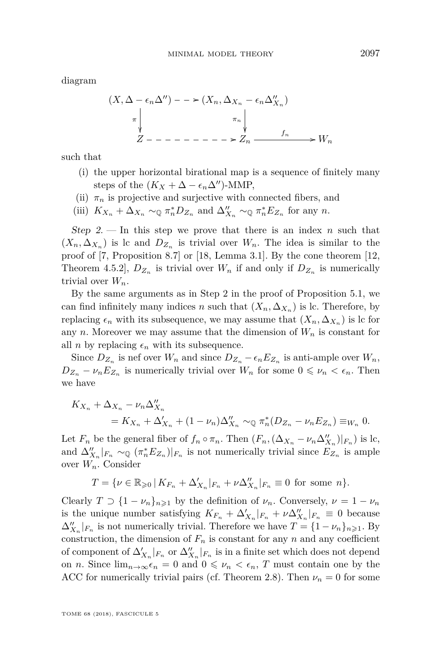diagram

$$
(X, \Delta - \epsilon_n \Delta'') - \epsilon_n \Delta_{X_n} - \epsilon_n \Delta_{X_n}''
$$
  
\n
$$
\pi \downarrow \qquad \pi \downarrow \qquad \pi \downarrow
$$
  
\n
$$
Z - \epsilon_n \rightarrow Z_n \rightarrow W_n
$$

such that

- (i) the upper horizontal birational map is a sequence of finitely many steps of the  $(K_X + \Delta - \epsilon_n \Delta'')$ -MMP,
- (ii)  $\pi_n$  is projective and surjective with connected fibers, and
- (iii)  $K_{X_n} + \Delta_{X_n} \sim_{\mathbb{Q}} \pi_n^* D_{Z_n}$  and  $\Delta_{X_n}'' \sim_{\mathbb{Q}} \pi_n^* E_{Z_n}$  for any *n*.

Step 2. — In this step we prove that there is an index  $n$  such that  $(X_n, \Delta_{X_n})$  is lc and  $D_{Z_n}$  is trivial over  $W_n$ . The idea is similar to the proof of [\[7,](#page-38-16) Proposition 8.7] or [\[18,](#page-38-17) Lemma 3.1]. By the cone theorem [\[12,](#page-38-11) Theorem 4.5.2],  $D_{Z_n}$  is trivial over  $W_n$  if and only if  $D_{Z_n}$  is numerically trivial over  $W_n$ .

By the same arguments as in Step [2](#page-23-2) in the proof of Proposition [5.1,](#page-23-0) we can find infinitely many indices *n* such that  $(X_n, \Delta_{X_n})$  is lc. Therefore, by replacing  $\epsilon_n$  with its subsequence, we may assume that  $(X_n, \Delta_{X_n})$  is lc for any *n*. Moreover we may assume that the dimension of  $W_n$  is constant for all *n* by replacing  $\epsilon_n$  with its subsequence.

Since  $D_{Z_n}$  is nef over  $W_n$  and since  $D_{Z_n} - \epsilon_n E_{Z_n}$  is anti-ample over  $W_n$ ,  $D_{Z_n} - \nu_n E_{Z_n}$  is numerically trivial over  $W_n$  for some  $0 \le \nu_n < \epsilon_n$ . Then we have

$$
K_{X_n} + \Delta_{X_n} - \nu_n \Delta_{X_n}''
$$
  
=  $K_{X_n} + \Delta_{X_n}' + (1 - \nu_n) \Delta_{X_n}'' \sim_{\mathbb{Q}} \pi_n^*(D_{Z_n} - \nu_n E_{Z_n}) \equiv_{W_n} 0.$ 

Let  $F_n$  be the general fiber of  $f_n \circ \pi_n$ . Then  $(F_n, (\Delta_{X_n} - \nu_n \Delta_{X_n}^{\prime\prime})|_{F_n})$  is lc, and  $\Delta_{X_n}''|_{F_n} \sim_{\mathbb{Q}} (\pi_n^* E_{Z_n})|_{F_n}$  is not numerically trivial since  $E_{Z_n}$  is ample over *Wn*. Consider

$$
T=\{\nu\in\mathbb{R}_{\geqslant0}\,|\,K_{F_n}+\Delta'_{X_n}|_{F_n}+\nu\Delta''_{X_n}|_{F_n}\equiv0\,\text{ for some }n\}.
$$

Clearly  $T \supset \{1 - \nu_n\}_{n \geq 1}$  by the definition of  $\nu_n$ . Conversely,  $\nu = 1 - \nu_n$ is the unique number satisfying  $K_{F_n} + \Delta'_{X_n}|_{F_n} + \nu \Delta''_{X_n}|_{F_n} \equiv 0$  because  $\Delta_{X_n}''|_{F_n}$  is not numerically trivial. Therefore we have  $T = \{1 - \nu_n\}_{n \geq 1}$ . By construction, the dimension of  $F_n$  is constant for any *n* and any coefficient of component of  $\Delta'_{X_n}|_{F_n}$  or  $\Delta''_{X_n}|_{F_n}$  is in a finite set which does not depend on *n*. Since  $\lim_{n\to\infty} \epsilon_n = 0$  and  $0 \leq \nu_n < \epsilon_n$ , *T* must contain one by the ACC for numerically trivial pairs (cf. Theorem [2.8\)](#page-8-1). Then  $\nu_n = 0$  for some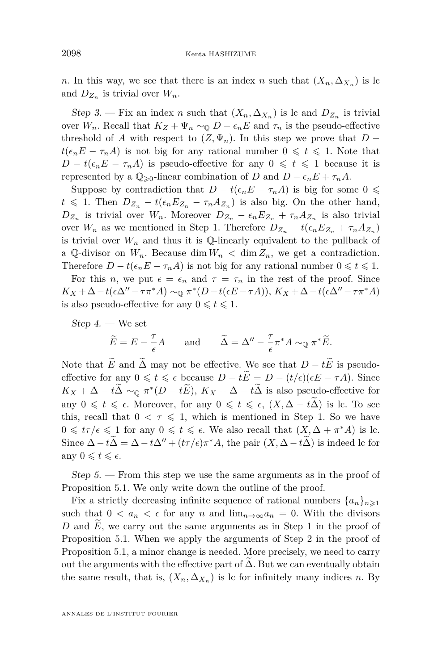*n*. In this way, we see that there is an index *n* such that  $(X_n, \Delta_{X_n})$  is lc and  $D_{Z_n}$  is trivial over  $W_n$ .

Step 3. — Fix an index *n* such that  $(X_n, \Delta_{X_n})$  is lc and  $D_{Z_n}$  is trivial over  $W_n$ . Recall that  $K_Z + \Psi_n \sim_{\mathbb{Q}} D - \epsilon_n E$  and  $\tau_n$  is the pseudo-effective threshold of *A* with respect to  $(Z, \Psi_n)$ . In this step we prove that  $D$  $t(\epsilon_n E - \tau_n A)$  is not big for any rational number  $0 \leq t \leq 1$ . Note that *D* − *t*( $\epsilon_n E$  − *τ*<sub>*n*</sub>*A*) is pseudo-effective for any 0  $\leq t \leq 1$  because it is represented by a  $\mathbb{Q}_{\geq 0}$ -linear combination of *D* and  $D - \epsilon_n E + \tau_n A$ .

Suppose by contradiction that  $D - t(\epsilon_n E - \tau_n A)$  is big for some 0  $\leq$  $t \le 1$ . Then  $D_{Z_n} - t(\epsilon_n E_{Z_n} - \tau_n A_{Z_n})$  is also big. On the other hand,  $D_{Z_n}$  is trivial over  $W_n$ . Moreover  $D_{Z_n} - \epsilon_n E_{Z_n} + \tau_n A_{Z_n}$  is also trivial over  $W_n$  as we mentioned in Step [1.](#page-28-1) Therefore  $D_{Z_n} - t(\epsilon_n E_{Z_n} + \tau_n A_{Z_n})$ is trivial over  $W_n$  and thus it is  $\mathbb Q$ -linearly equivalent to the pullback of a Q-divisor on  $W_n$ . Because dim  $W_n < \dim Z_n$ , we get a contradiction. Therefore  $D - t(\epsilon_n E - \tau_n A)$  is not big for any rational number  $0 \le t \le 1$ .

For this *n*, we put  $\epsilon = \epsilon_n$  and  $\tau = \tau_n$  in the rest of the proof. Since  $K_X + \Delta - t(\epsilon \Delta'' - \tau \pi^* A) \sim_{\mathbb{Q}} \pi^* (D - t(\epsilon E - \tau A)), K_X + \Delta - t(\epsilon \Delta'' - \tau \pi^* A)$ is also pseudo-effective for any  $0 \leq t \leq 1$ .

 $Step 4.$  We set

$$
\widetilde{E} = E - \frac{\tau}{\epsilon} A
$$
 and  $\widetilde{\Delta} = \Delta'' - \frac{\tau}{\epsilon} \pi^* A \sim_{\mathbb{Q}} \pi^* \widetilde{E}.$ 

Note that  $\widetilde{E}$  and  $\widetilde{\Delta}$  may not be effective. We see that  $D - t\widetilde{E}$  is pseudoeffective for any  $0 \le t \le \epsilon$  because  $D - t\widetilde{E} = D - (t/\epsilon)(\epsilon E - \tau A)$ . Since  $K_X + \Delta - t\Delta \sim_{\mathbb{Q}} \pi^*(D - tE), K_X + \Delta - t\Delta$  is also pseudo-effective for any  $0 \leq t \leq \epsilon$ . Moreover, for any  $0 \leq t \leq \epsilon$ ,  $(X, \Delta - t\overline{\Delta})$  is lc. To see this, recall that  $0 < \tau \leq 1$ , which is mentioned in Step [1.](#page-28-1) So we have  $0 \leqslant t\tau/\epsilon \leqslant 1$  for any  $0 \leqslant t \leqslant \epsilon$ . We also recall that  $(X, \Delta + \pi^*A)$  is lc. Since  $\Delta - t\Delta = \Delta - t\Delta'' + (t\tau/\epsilon)\pi^*A$ , the pair  $(X, \Delta - t\Delta)$  is indeed lc for any  $0 \leqslant t \leqslant \epsilon$ .

Step 5. — From this step we use the same arguments as in the proof of Proposition [5.1.](#page-23-0) We only write down the outline of the proof.

Fix a strictly decreasing infinite sequence of rational numbers  $\{a_n\}_{n\geqslant 1}$ such that  $0 < a_n < \epsilon$  for any *n* and  $\lim_{n\to\infty} a_n = 0$ . With the divisors *D* and *E*, we carry out the same arguments as in Step [1](#page-23-1) in the proof of Proposition [5.1.](#page-23-0) When we apply the arguments of Step [2](#page-23-2) in the proof of Proposition [5.1,](#page-23-0) a minor change is needed. More precisely, we need to carry out the arguments with the effective part of  $\Delta$ . But we can eventually obtain the same result, that is,  $(X_n, \Delta_{X_n})$  is lc for infinitely many indices *n*. By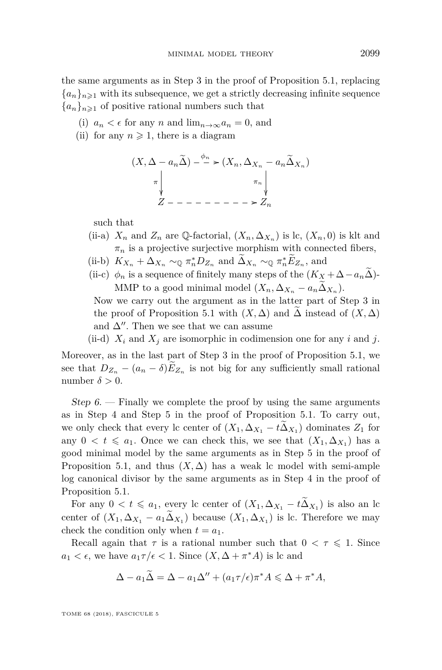the same arguments as in Step [3](#page-24-1) in the proof of Proposition [5.1,](#page-23-0) replacing  ${a_n}_{n\geq 1}$  with its subsequence, we get a strictly decreasing infinite sequence  ${a_n}_{n \geq 1}$  of positive rational numbers such that

- (i)  $a_n < \epsilon$  for any *n* and  $\lim_{n \to \infty} a_n = 0$ , and
- (ii) for any  $n \geq 1$ , there is a diagram

$$
(X, \Delta - a_n \widetilde{\Delta}) - {^{\phi_n} \choose \pi} \times (X_n, \Delta_{X_n} - a_n \widetilde{\Delta}_{X_n})
$$

$$
\uparrow \qquad \qquad \uparrow \qquad \qquad \uparrow \qquad \qquad \uparrow
$$

$$
Z - - - - - - - - - \times Z_n
$$

such that

- (ii-a)  $X_n$  and  $Z_n$  are Q-factorial,  $(X_n, \Delta_{X_n})$  is lc,  $(X_n, 0)$  is klt and  $\pi_n$  is a projective surjective morphism with connected fibers,
- (ii-b)  $K_{X_n} + \Delta_{X_n} \sim_{\mathbb{Q}} \pi_n^* D_{Z_n}$  and  $\Delta_{X_n} \sim_{\mathbb{Q}} \pi_n^* E_{Z_n}$ , and
- (ii-c)  $\phi_n$  is a sequence of finitely many steps of the  $(K_X + \Delta a_n \Delta)$ -MMP to a good minimal model  $(X_n, \Delta_{X_n} - a_n \Delta_{X_n})$ .

Now we carry out the argument as in the latter part of Step [3](#page-24-1) in the proof of Proposition [5.1](#page-23-0) with  $(X, \Delta)$  and  $\Delta$  instead of  $(X, \Delta)$ and  $\Delta''$ . Then we see that we can assume

(ii-d)  $X_i$  and  $X_j$  are isomorphic in codimension one for any *i* and *j*.

Moreover, as in the last part of Step [3](#page-24-1) in the proof of Proposition [5.1,](#page-23-0) we see that  $D_{Z_n} - (a_n - \delta)E_{Z_n}$  is not big for any sufficiently small rational number  $\delta > 0$ .

Step  $6.$  — Finally we complete the proof by using the same arguments as in Step [4](#page-25-0) and Step [5](#page-26-0) in the proof of Proposition [5.1.](#page-23-0) To carry out, we only check that every lc center of  $(X_1, \Delta_{X_1} - t\Delta_{X_1})$  dominates  $Z_1$  for any  $0 < t \leq a_1$ . Once we can check this, we see that  $(X_1, \Delta_{X_1})$  has a good minimal model by the same arguments as in Step [5](#page-26-0) in the proof of Proposition [5.1,](#page-23-0) and thus  $(X, \Delta)$  has a weak lc model with semi-ample log canonical divisor by the same arguments as in Step [4](#page-25-0) in the proof of Proposition [5.1.](#page-23-0)

For any  $0 < t \le a_1$ , every lc center of  $(X_1, \Delta_{X_1} - t\tilde{\Delta}_{X_1})$  is also an lc center of  $(X_1, \Delta_{X_1} - a_1 \Delta_{X_1})$  because  $(X_1, \Delta_{X_1})$  is lc. Therefore we may check the condition only when  $t = a_1$ .

Recall again that  $\tau$  is a rational number such that  $0 < \tau \leq 1$ . Since  $a_1 < \epsilon$ , we have  $a_1 \tau / \epsilon < 1$ . Since  $(X, \Delta + \pi^* A)$  is lc and

$$
\Delta - a_1 \widetilde{\Delta} = \Delta - a_1 \Delta'' + (a_1 \tau/\epsilon) \pi^* A \leq \Delta + \pi^* A,
$$

TOME 68 (2018), FASCICULE 5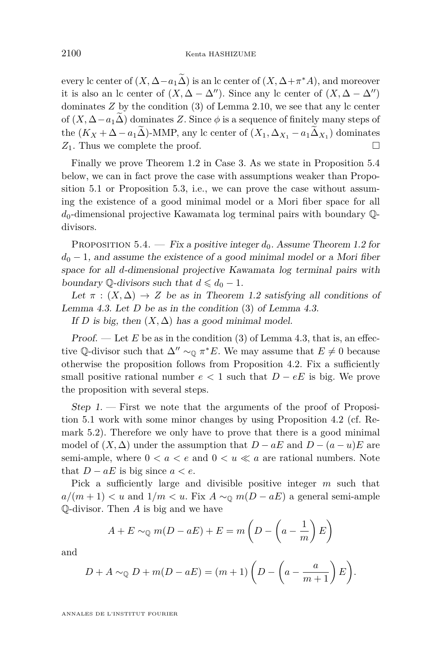every lc center of  $(X, \Delta - a_1\Delta)$  is an lc center of  $(X, \Delta + \pi^*A)$ , and moreover it is also an lc center of  $(X, \Delta - \Delta'')$ . Since any lc center of  $(X, \Delta - \Delta'')$ dominates  $Z$  by the condition  $(3)$  of Lemma [2.10,](#page-9-3) we see that any lc center of  $(X, \Delta - a_1\Delta)$  dominates *Z*. Since  $\phi$  is a sequence of finitely many steps of the  $(K_X + \Delta - a_1 \Delta)$ -MMP, any lc center of  $(X_1, \Delta_{X_1} - a_1 \Delta_{X_1})$  dominates  $Z_1$ . Thus we complete the proof.  $\Box$ 

Finally we prove Theorem [1.2](#page-2-0) in Case [3.](#page-22-1) As we state in Proposition [5.4](#page-32-0) below, we can in fact prove the case with assumptions weaker than Proposition [5.1](#page-23-0) or Proposition [5.3,](#page-28-0) i.e., we can prove the case without assuming the existence of a good minimal model or a Mori fiber space for all *d*0-dimensional projective Kawamata log terminal pairs with boundary Qdivisors.

<span id="page-32-0"></span>PROPOSITION 5.4. — Fix a positive integer  $d_0$ . Assume Theorem [1.2](#page-2-0) for  $d_0 - 1$ , and assume the existence of a good minimal model or a Mori fiber space for all *d*-dimensional projective Kawamata log terminal pairs with boundary  $\mathbb{Q}$ -divisors such that  $d \leq d_0 - 1$ .

Let  $\pi : (X, \Delta) \to Z$  be as in Theorem [1.2](#page-2-0) satisfying all conditions of Lemma [4.3.](#page-19-3) Let *D* be as in the condition [\(3\)](#page-19-4) of Lemma [4.3.](#page-19-3)

If *D* is big, then  $(X, \Delta)$  has a good minimal model.

Proof. — Let  $E$  be as in the condition [\(3\)](#page-19-4) of Lemma [4.3,](#page-19-3) that is, an effective Q-divisor such that  $\Delta'' \sim_{\mathbb{Q}} \pi^* E$ . We may assume that  $E \neq 0$  because otherwise the proposition follows from Proposition [4.2.](#page-19-5) Fix a sufficiently small positive rational number  $e < 1$  such that  $D - eE$  is big. We prove the proposition with several steps.

<span id="page-32-1"></span>Step 1.  $-$  First we note that the arguments of the proof of Proposition [5.1](#page-23-0) work with some minor changes by using Proposition [4.2](#page-19-5) (cf. Remark [5.2\)](#page-28-2). Therefore we only have to prove that there is a good minimal model of  $(X, \Delta)$  under the assumption that  $D - aE$  and  $D - (a - u)E$  are semi-ample, where  $0 < a < e$  and  $0 < u \ll a$  are rational numbers. Note that  $D - aE$  is big since  $a < e$ .

Pick a sufficiently large and divisible positive integer *m* such that  $a/(m+1) < u$  and  $1/m < u$ . Fix  $A \sim_{\mathbb{Q}} m(D - aE)$  a general semi-ample Q-divisor. Then *A* is big and we have

$$
A + E \sim_{\mathbb{Q}} m(D - aE) + E = m\left(D - \left(a - \frac{1}{m}\right)E\right)
$$

and

$$
D + A \sim_{\mathbb{Q}} D + m(D - aE) = (m+1) \left( D - \left( a - \frac{a}{m+1} \right) E \right).
$$

ANNALES DE L'INSTITUT FOURIER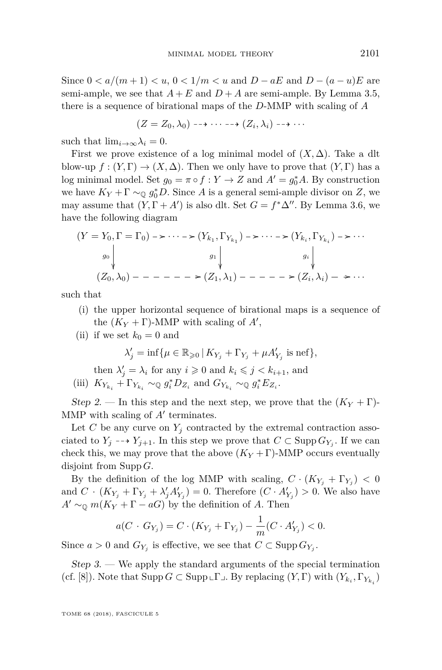Since  $0 < a/(m+1) < u, 0 < 1/m < u$  and  $D - aE$  and  $D - (a - u)E$  are semi-ample, we see that  $A + E$  and  $D + A$  are semi-ample. By Lemma [3.5,](#page-12-0) there is a sequence of birational maps of the *D*-MMP with scaling of *A*

$$
(Z = Z_0, \lambda_0) \dashrightarrow \cdots \dashrightarrow (Z_i, \lambda_i) \dashrightarrow \cdots
$$

such that  $\lim_{i\to\infty}\lambda_i=0$ .

First we prove existence of a log minimal model of  $(X, \Delta)$ . Take a dlt blow-up  $f : (Y, \Gamma) \to (X, \Delta)$ . Then we only have to prove that  $(Y, \Gamma)$  has a log minimal model. Set  $g_0 = \pi \circ f : Y \to Z$  and  $A' = g_0^* A$ . By construction we have  $K_Y + \Gamma \sim_{\mathbb{Q}} g_0^* D$ . Since *A* is a general semi-ample divisor on *Z*, we may assume that  $(Y, \Gamma + A')$  is also dlt. Set  $G = f^* \Delta''$ . By Lemma [3.6,](#page-13-0) we have the following diagram

$$
(Y = Y_0, \Gamma = \Gamma_0) \rightarrow \cdots \rightarrow (Y_{k_1}, \Gamma_{Y_{k_1}}) \rightarrow \cdots \rightarrow (Y_{k_i}, \Gamma_{Y_{k_i}}) \rightarrow \cdots
$$
  
\n
$$
g_0 \downarrow \qquad \qquad g_1 \downarrow \qquad \qquad g_i \downarrow \qquad \qquad g_i \downarrow
$$
  
\n
$$
(Z_0, \lambda_0) \rightarrow \cdots \rightarrow (Z_1, \lambda_1) \rightarrow \cdots \rightarrow (Z_i, \lambda_i) \rightarrow \cdots
$$

such that

- (i) the upper horizontal sequence of birational maps is a sequence of the  $(K_Y + \Gamma)$ -MMP with scaling of  $A'$ ,
- (ii) if we set  $k_0 = 0$  and

$$
\lambda'_j = \inf \{ \mu \in \mathbb{R}_{\geqslant 0} \, | \, K_{Y_j} + \Gamma_{Y_j} + \mu A'_{Y_j} \text{ is nef} \},\
$$

then  $\lambda'_j = \lambda_i$  for any  $i \geqslant 0$  and  $k_i \leqslant j < k_{i+1}$ , and (iii)  $K_{Y_{k_i}} + \Gamma_{Y_{k_i}} \sim_{\mathbb{Q}} g_i^* D_{Z_i}$  and  $G_{Y_{k_i}} \sim_{\mathbb{Q}} g_i^* E_{Z_i}$ .

Step 2. — In this step and the next step, we prove that the  $(K_Y + \Gamma)$ -MMP with scaling of  $A'$  terminates.

Let *C* be any curve on  $Y_j$  contracted by the extremal contraction associated to  $Y_j \dashrightarrow Y_{j+1}$ . In this step we prove that  $C \subset \text{Supp } G_{Y_j}$ . If we can check this, we may prove that the above  $(K_Y + \Gamma)$ -MMP occurs eventually disjoint from Supp *G*.

By the definition of the log MMP with scaling,  $C \cdot (K_{Y_j} + \Gamma_{Y_j}) < 0$ and  $C \cdot (K_{Y_j} + \Gamma_{Y_j} + \lambda'_j A'_{Y_j}) = 0$ . Therefore  $(C \cdot A'_{Y_j}) > 0$ . We also have  $A' \sim_{\mathbb{Q}} m(K_Y + \Gamma - aG)$  by the definition of *A*. Then

$$
a(C \cdot G_{Y_j}) = C \cdot (K_{Y_j} + \Gamma_{Y_j}) - \frac{1}{m}(C \cdot A'_{Y_j}) < 0.
$$

Since  $a > 0$  and  $G_{Y_j}$  is effective, we see that  $C \subset \text{Supp } G_{Y_j}$ .

<span id="page-33-0"></span> $Step 3.$  — We apply the standard arguments of the special termination (cf. [\[8\]](#page-38-18)). Note that  $\text{Supp } G \subset \text{Supp } \mathbb{L} \Gamma \mathbb{L}$ . By replacing  $(Y, \Gamma)$  with  $(Y_{k_i}, \Gamma_{Y_{k_i}})$ 

TOME 68 (2018), FASCICULE 5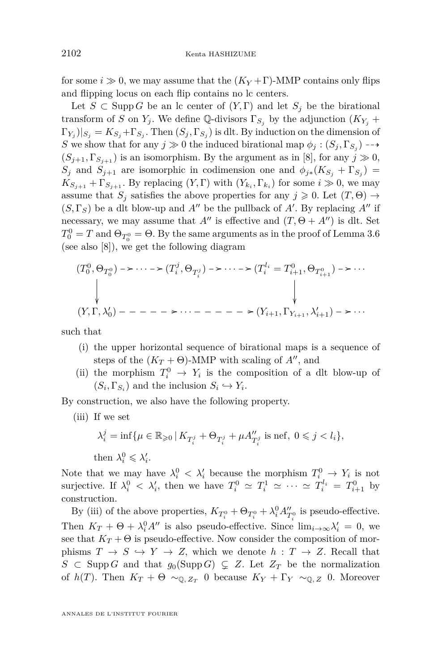for some  $i \gg 0$ , we may assume that the  $(K_Y + \Gamma)$ -MMP contains only flips and flipping locus on each flip contains no lc centers.

Let  $S \subset \text{Supp } G$  be an lc center of  $(Y, \Gamma)$  and let  $S_j$  be the birational transform of *S* on  $Y_j$ . We define Q-divisors  $\Gamma_{S_j}$  by the adjunction  $(K_{Y_j} +$  $\Gamma_{Y_j}|_{S_j} = K_{S_j} + \Gamma_{S_j}$ . Then  $(S_j, \Gamma_{S_j})$  is dlt. By induction on the dimension of *S* we show that for any  $j \gg 0$  the induced birational map  $\phi_j : (S_j, \Gamma_{S_j}) \dashrightarrow$  $(S_{i+1}, \Gamma_{S_{i+1}})$  is an isomorphism. By the argument as in [\[8\]](#page-38-18), for any  $j \gg 0$ , *S*<sup>*j*</sup> and *S*<sub>*j*+1</sub> are isomorphic in codimension one and  $\phi_{j*}(K_{S_j} + \Gamma_{S_j})$  $K_{S_{j+1}} + \Gamma_{S_{j+1}}$ . By replacing  $(Y, \Gamma)$  with  $(Y_{k_i}, \Gamma_{k_i})$  for some  $i \gg 0$ , we may assume that  $S_j$  satisfies the above properties for any  $j \geqslant 0$ . Let  $(T, \Theta) \rightarrow$  $(S, \Gamma_S)$  be a dlt blow-up and  $A''$  be the pullback of  $A'$ . By replacing  $A''$  if necessary, we may assume that  $A''$  is effective and  $(T, \Theta + A'')$  is dlt. Set  $T_0^0 = T$  and  $\Theta_{T_0^0} = \Theta$ . By the same arguments as in the proof of Lemma [3.6](#page-13-0) (see also [\[8\]](#page-38-18)), we get the following diagram

$$
(T_0^0, \Theta_{T_0^0}) \to \cdots \to (T_i^j, \Theta_{T_i^j}) \to \cdots \to (T_i^l = T_{i+1}^0, \Theta_{T_{i+1}^0}) \to \cdots
$$
  
\n
$$
\downarrow \qquad \qquad \downarrow
$$
  
\n
$$
(Y, \Gamma, \lambda'_0) \to \cdots \to \cdots \to \cdots \to \cdots \to (Y_{i+1}, \Gamma_{Y_{i+1}}, \lambda'_{i+1}) \to \cdots
$$

such that

- (i) the upper horizontal sequence of birational maps is a sequence of steps of the  $(K_T + \Theta)$ -MMP with scaling of A'', and
- (ii) the morphism  $T_i^0 \rightarrow Y_i$  is the composition of a dlt blow-up of  $(S_i, \Gamma_{S_i})$  and the inclusion  $S_i \hookrightarrow Y_i$ .

<span id="page-34-0"></span>By construction, we also have the following property.

(iii) If we set

$$
\lambda_i^j = \inf \{ \mu \in \mathbb{R}_{\geqslant 0} \, | \, K_{T_i^j} + \Theta_{T_i^j} + \mu A_{T_i^j}^{\prime\prime} \text{ is nef, } 0 \leqslant j < l_i \},
$$
 then  $\lambda_i^0 \leqslant \lambda_i^{\prime}$ .

Note that we may have  $\lambda_i^0 < \lambda_i'$  because the morphism  $T_i^0 \rightarrow Y_i$  is not surjective. If  $\lambda_i^0 < \lambda_i'$ , then we have  $T_i^0 \simeq T_i^1 \simeq \cdots \simeq T_i^{l_i} = T_{i+1}^0$  by construction.

By [\(iii\)](#page-34-0) of the above properties,  $K_{T_i^0} + \Theta_{T_i^0} + \lambda_i^0 A_{T_i^0}''$  is pseudo-effective. Then  $K_T + \Theta + \lambda_i^0 A''$  is also pseudo-effective. Since  $\lim_{i \to \infty} \lambda'_i = 0$ , we see that  $K_T + \Theta$  is pseudo-effective. Now consider the composition of morphisms  $T \to S \hookrightarrow Y \to Z$ , which we denote  $h : T \to Z$ . Recall that *S* ⊂ Supp *G* and that  $g_0$ (Supp *G*) ⊆ *Z*. Let  $Z_T$  be the normalization of  $h(T)$ . Then  $K_T + \Theta \sim_{\mathbb{Q}, Z_T} 0$  because  $K_Y + \Gamma_Y \sim_{\mathbb{Q}, Z} 0$ . Moreover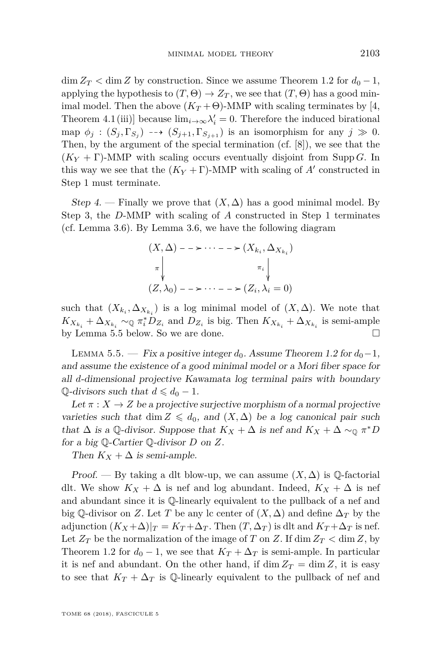$\dim Z_T < \dim Z$  by construction. Since we assume Theorem [1.2](#page-2-0) for  $d_0 - 1$ , applying the hypothesis to  $(T, \Theta) \rightarrow Z_T$ , we see that  $(T, \Theta)$  has a good minimal model. Then the above  $(K_T + \Theta)$ -MMP with scaling terminates by [\[4,](#page-38-10) Theorem 4.1(iii)] because  $\lim_{i\to\infty} \lambda'_i = 0$ . Therefore the induced birational map  $\phi_j : (S_j, \Gamma_{S_j}) \dashrightarrow (S_{j+1}, \Gamma_{S_{j+1}})$  is an isomorphism for any  $j \gg 0$ . Then, by the argument of the special termination (cf. [\[8\]](#page-38-18)), we see that the  $(K_Y + \Gamma)$ -MMP with scaling occurs eventually disjoint from Supp *G*. In this way we see that the  $(K_Y + \Gamma)$ -MMP with scaling of  $A'$  constructed in Step [1](#page-32-1) must terminate.

Step 4. — Finally we prove that  $(X, \Delta)$  has a good minimal model. By Step [3,](#page-33-0) the *D*-MMP with scaling of *A* constructed in Step [1](#page-32-1) terminates (cf. Lemma [3.6\)](#page-13-0). By Lemma [3.6,](#page-13-0) we have the following diagram

$$
(X, \Delta) \longrightarrow \cdots \longrightarrow (X_{k_i}, \Delta_{X_{k_i}})
$$
  
\n
$$
\pi \downarrow \qquad \qquad \pi_i \downarrow
$$
  
\n
$$
(Z, \lambda_0) \longrightarrow \cdots \longrightarrow (Z_i, \lambda_i = 0)
$$

such that  $(X_{k_i}, \Delta_{X_{k_i}})$  is a log minimal model of  $(X, \Delta)$ . We note that  $K_{X_{k_i}} + \Delta_{X_{k_i}} \sim_{\mathbb{Q}} \pi_i^* D_{Z_i}$  and  $D_{Z_i}$  is big. Then  $K_{X_{k_i}} + \Delta_{X_{k_i}}$  is semi-ample by Lemma [5.5](#page-35-0) below. So we are done.

<span id="page-35-0"></span>LEMMA 5.5. — Fix a positive integer  $d_0$ . Assume Theorem [1.2](#page-2-0) for  $d_0$ −1, and assume the existence of a good minimal model or a Mori fiber space for all *d*-dimensional projective Kawamata log terminal pairs with boundary Q-divisors such that  $d \leq d_0 - 1$ .

Let  $\pi: X \to Z$  be a projective surjective morphism of a normal projective varieties such that dim  $Z \leq d_0$ , and  $(X, \Delta)$  be a log canonical pair such that  $\Delta$  is a Q-divisor. Suppose that  $K_X + \Delta$  is nef and  $K_X + \Delta \sim_{\mathbb{Q}} \pi^* D$ for a big Q-Cartier Q-divisor *D* on *Z*.

Then  $K_X + \Delta$  is semi-ample.

Proof. — By taking a dlt blow-up, we can assume  $(X, \Delta)$  is  $\mathbb{Q}$ -factorial dlt. We show  $K_X + \Delta$  is nef and log abundant. Indeed,  $K_X + \Delta$  is nef and abundant since it is Q-linearly equivalent to the pullback of a nef and big Q-divisor on *Z*. Let *T* be any lc center of  $(X, \Delta)$  and define  $\Delta_T$  by the adjunction  $(K_X + \Delta)|_T = K_T + \Delta_T$ . Then  $(T, \Delta_T)$  is dlt and  $K_T + \Delta_T$  is nef. Let  $Z_T$  be the normalization of the image of *T* on *Z*. If dim  $Z_T <$  dim *Z*, by Theorem [1.2](#page-2-0) for  $d_0 - 1$ , we see that  $K_T + \Delta_T$  is semi-ample. In particular it is nef and abundant. On the other hand, if dim  $Z_T = \dim Z$ , it is easy to see that  $K_T + \Delta_T$  is Q-linearly equivalent to the pullback of nef and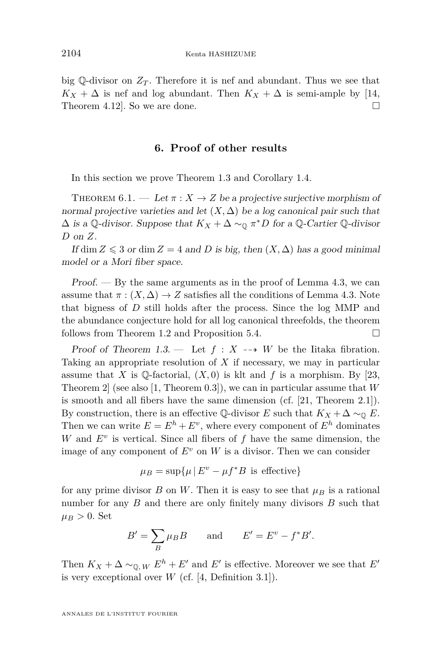big Q-divisor on  $Z_T$ . Therefore it is nef and abundant. Thus we see that  $K_X + \Delta$  is nef and log abundant. Then  $K_X + \Delta$  is semi-ample by [\[14,](#page-38-19) Theorem 4.12. So we are done.  $\square$ 

#### **6. Proof of other results**

<span id="page-36-0"></span>In this section we prove Theorem [1.3](#page-2-1) and Corollary [1.4.](#page-2-2)

<span id="page-36-1"></span>THEOREM  $6.1.$  — Let  $\pi$  :  $X \rightarrow Z$  be a projective surjective morphism of normal projective varieties and let  $(X, \Delta)$  be a log canonical pair such that  $\Delta$  is a Q-divisor. Suppose that  $K_X + \Delta \sim_{\mathbb{Q}} \pi^* D$  for a Q-Cartier Q-divisor *D* on *Z*.

If dim  $Z \leq 3$  or dim  $Z = 4$  and *D* is big, then  $(X, \Delta)$  has a good minimal model or a Mori fiber space.

Proof. — By the same arguments as in the proof of Lemma [4.3,](#page-19-3) we can assume that  $\pi : (X, \Delta) \to Z$  satisfies all the conditions of Lemma [4.3.](#page-19-3) Note that bigness of *D* still holds after the process. Since the log MMP and the abundance conjecture hold for all log canonical threefolds, the theorem follows from Theorem [1.2](#page-2-0) and Proposition [5.4.](#page-32-0)

Proof of Theorem [1.3.](#page-2-1) — Let  $f: X \dashrightarrow W$  be the Iitaka fibration. Taking an appropriate resolution of *X* if necessary, we may in particular assume that *X* is Q-factorial,  $(X, 0)$  is klt and *f* is a morphism. By [\[23,](#page-38-20) Theorem 2] (see also [\[1,](#page-37-1) Theorem 0.3]), we can in particular assume that *W* is smooth and all fibers have the same dimension (cf. [\[21,](#page-38-12) Theorem 2.1]). By construction, there is an effective  $\mathbb{Q}$ -divisor *E* such that  $K_X + \Delta \sim_{\mathbb{Q}} E$ . Then we can write  $E = E^h + E^v$ , where every component of  $E^h$  dominates *W* and *E<sup>v</sup>* is vertical. Since all fibers of *f* have the same dimension, the image of any component of  $E^v$  on W is a divisor. Then we can consider

$$
\mu_B = \sup \{ \mu \, | \, E^v - \mu f^*B \text{ is effective} \}
$$

for any prime divisor  $B$  on  $W$ . Then it is easy to see that  $\mu_B$  is a rational number for any *B* and there are only finitely many divisors *B* such that  $\mu_B > 0$ . Set

$$
B' = \sum_B \mu_B B \qquad \text{and} \qquad E' = E^v - f^* B'.
$$

Then  $K_X + \Delta \sim_{\mathbb{Q},W} E^h + E'$  and  $E'$  is effective. Moreover we see that  $E'$ is very exceptional over  $W$  (cf.  $[4,$  Definition 3.1]).

ANNALES DE L'INSTITUT FOURIER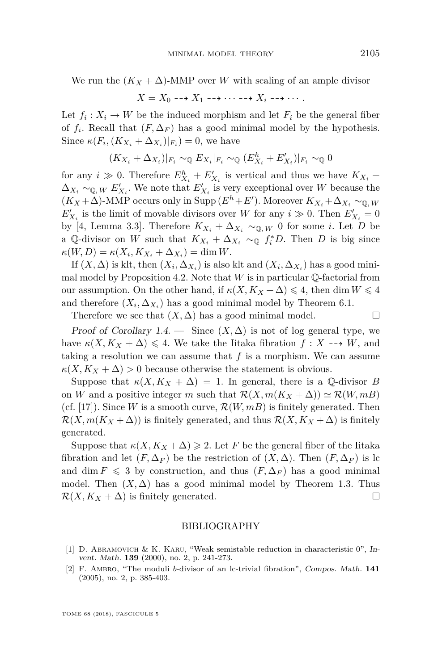We run the  $(K_X + \Delta)$ -MMP over *W* with scaling of an ample divisor

$$
X = X_0 \dashrightarrow X_1 \dashrightarrow \cdots \dashrightarrow X_i \dashrightarrow \cdots.
$$

Let  $f_i: X_i \to W$  be the induced morphism and let  $F_i$  be the general fiber of  $f_i$ . Recall that  $(F, \Delta_F)$  has a good minimal model by the hypothesis. Since  $\kappa(F_i, (K_{X_i} + \Delta_{X_i})|_{F_i}) = 0$ , we have

$$
(K_{X_i} + \Delta_{X_i})|_{F_i} \sim_{\mathbb{Q}} E_{X_i}|_{F_i} \sim_{\mathbb{Q}} (E_{X_i}^h + E_{X_i}')|_{F_i} \sim_{\mathbb{Q}} 0
$$

for any  $i \gg 0$ . Therefore  $E_{X_i}^h + E_{X_i}'$  is vertical and thus we have  $K_{X_i}$  +  $\Delta_{X_i} \sim_{\mathbb{Q}, W} E'_{X_i}$ . We note that  $E'_{X_i}$  is very exceptional over *W* because the  $(K_X + \Delta)$ -MMP occurs only in Supp  $(E^h + E')$ . Moreover  $K_{X_i} + \Delta_{X_i} \sim_{\mathbb{Q}, W}$  $E'_{X_i}$  is the limit of movable divisors over *W* for any  $i \gg 0$ . Then  $E'_{X_i} = 0$ by [\[4,](#page-38-10) Lemma 3.3]. Therefore  $K_{X_i} + \Delta_{X_i} \sim_{\mathbb{Q},W} 0$  for some *i*. Let *D* be a Q-divisor on *W* such that  $K_{X_i} + \Delta_{X_i} \sim_{\mathbb{Q}} f_i^* D$ . Then *D* is big since  $\kappa(W, D) = \kappa(X_i, K_{X_i} + \Delta_{X_i}) = \dim W.$ 

If  $(X, \Delta)$  is klt, then  $(X_i, \Delta_{X_i})$  is also klt and  $(X_i, \Delta_{X_i})$  has a good mini-mal model by Proposition [4.2.](#page-19-5) Note that  $W$  is in particular  $\mathbb Q$ -factorial from our assumption. On the other hand, if  $\kappa(X, K_X + \Delta) \leq 4$ , then dim  $W \leq 4$ and therefore  $(X_i, \Delta_{X_i})$  has a good minimal model by Theorem [6.1.](#page-36-1)

Therefore we see that  $(X, \Delta)$  has a good minimal model.  $\square$ 

Proof of Corollary [1.4.](#page-2-2) — Since  $(X, \Delta)$  is not of log general type, we have  $\kappa(X, K_X + \Delta) \leq 4$ . We take the Iitaka fibration  $f: X \dashrightarrow W$ , and taking a resolution we can assume that *f* is a morphism. We can assume  $\kappa(X, K_X + \Delta) > 0$  because otherwise the statement is obvious.

Suppose that  $\kappa(X, K_X + \Delta) = 1$ . In general, there is a Q-divisor *B* on *W* and a positive integer *m* such that  $\mathcal{R}(X, m(K_X + \Delta)) \simeq \mathcal{R}(W, mB)$ (cf. [\[17\]](#page-38-21)). Since *W* is a smooth curve,  $\mathcal{R}(W, mB)$  is finitely generated. Then  $\mathcal{R}(X, m(K_X + \Delta))$  is finitely generated, and thus  $\mathcal{R}(X, K_X + \Delta)$  is finitely generated.

Suppose that  $\kappa(X, K_X + \Delta) \geq 2$ . Let *F* be the general fiber of the Iitaka fibration and let  $(F, \Delta_F)$  be the restriction of  $(X, \Delta)$ . Then  $(F, \Delta_F)$  is lc and dim  $F \leq 3$  by construction, and thus  $(F, \Delta_F)$  has a good minimal model. Then  $(X, \Delta)$  has a good minimal model by Theorem [1.3.](#page-2-1) Thus  $\mathcal{R}(X, K_X + \Delta)$  is finitely generated.

#### BIBLIOGRAPHY

- <span id="page-37-1"></span>[1] D. ABRAMOVICH & K. KARU, "Weak semistable reduction in characteristic 0", Invent. Math. **139** (2000), no. 2, p. 241-273.
- <span id="page-37-0"></span>[2] F. Ambro, "The moduli *b*-divisor of an lc-trivial fibration", Compos. Math. **141** (2005), no. 2, p. 385-403.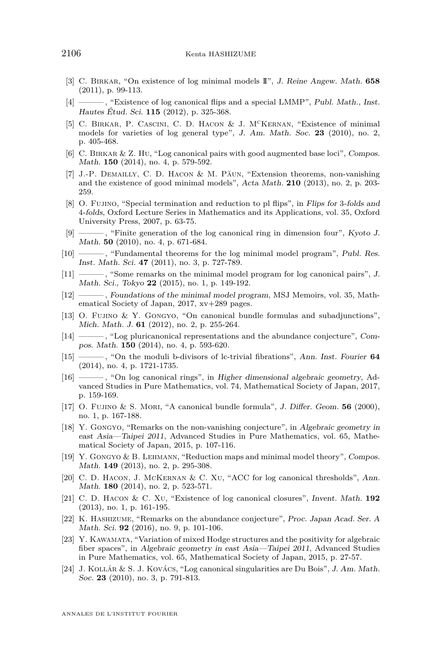- <span id="page-38-15"></span>[3] C. Birkar, "On existence of log minimal models II", J. Reine Angew. Math. **658** (2011), p. 99-113.
- <span id="page-38-10"></span>[4] ——— , "Existence of log canonical flips and a special LMMP", Publ. Math., Inst. Hautes Étud. Sci. **115** (2012), p. 325-368.
- <span id="page-38-0"></span>[5] C. BIRKAR, P. CASCINI, C. D. HACON & J. M<sup>C</sup>KERNAN, "Existence of minimal models for varieties of log general type", J. Am. Math. Soc. **23** (2010), no. 2, p. 405-468.
- <span id="page-38-5"></span>[6] C. Birkar & Z. Hu, "Log canonical pairs with good augmented base loci", Compos. Math. **150** (2014), no. 4, p. 579-592.
- <span id="page-38-16"></span>[7] J.-P. Demailly, C. D. Hacon & M. Păun, "Extension theorems, non-vanishing and the existence of good minimal models", Acta Math. **210** (2013), no. 2, p. 203- 259.
- <span id="page-38-18"></span>[8] O. Fujino, "Special termination and reduction to pl flips", in Flips for 3-folds and 4-folds, Oxford Lecture Series in Mathematics and its Applications, vol. 35, Oxford University Press, 2007, p. 63-75.
- <span id="page-38-6"></span>[9] ——— , "Finite generation of the log canonical ring in dimension four", Kyoto J. Math. **50** (2010), no. 4, p. 671-684.
- <span id="page-38-8"></span>[10] ——, "Fundamental theorems for the log minimal model program", Publ. Res. Inst. Math. Sci. **47** (2011), no. 3, p. 727-789.
- <span id="page-38-1"></span>[11] ——— , "Some remarks on the minimal model program for log canonical pairs", J. Math. Sci., Tokyo **22** (2015), no. 1, p. 149-192.
- <span id="page-38-11"></span>[12] ——— , Foundations of the minimal model program, MSJ Memoirs, vol. 35, Mathematical Society of Japan, 2017, xv+289 pages.
- <span id="page-38-2"></span>[13] O. Fujino & Y. Gongyo, "On canonical bundle formulas and subadjunctions", Mich. Math. J. **61** (2012), no. 2, p. 255-264.
- <span id="page-38-19"></span>[14] ——— , "Log pluricanonical representations and the abundance conjecture", Compos. Math. **150** (2014), no. 4, p. 593-620.
- <span id="page-38-3"></span>[15] ——— , "On the moduli b-divisors of lc-trivial fibrations", Ann. Inst. Fourier **64** (2014), no. 4, p. 1721-1735.
- <span id="page-38-7"></span>[16] ——— , "On log canonical rings", in Higher dimensional algebraic geometry, Advanced Studies in Pure Mathematics, vol. 74, Mathematical Society of Japan, 2017, p. 159-169.
- <span id="page-38-21"></span>[17] O. Fujino & S. Mori, "A canonical bundle formula", J. Differ. Geom. **56** (2000), no. 1, p. 167-188.
- <span id="page-38-17"></span>[18] Y. Gongyo, "Remarks on the non-vanishing conjecture", in Algebraic geometry in east Asia—Taipei 2011, Advanced Studies in Pure Mathematics, vol. 65, Mathematical Society of Japan, 2015, p. 107-116.
- <span id="page-38-4"></span>[19] Y. Gongyo & B. Lehmann, "Reduction maps and minimal model theory", Compos. Math. **149** (2013), no. 2, p. 295-308.
- <span id="page-38-13"></span>[20] C. D. Hacon, J. McKernan & C. Xu, "ACC for log canonical thresholds", Ann. Math. **180** (2014), no. 2, p. 523-571.
- <span id="page-38-12"></span>[21] C. D. Hacon & C. Xu, "Existence of log canonical closures", Invent. Math. **192** (2013), no. 1, p. 161-195.
- <span id="page-38-14"></span>[22] K. Hashizume, "Remarks on the abundance conjecture", Proc. Japan Acad. Ser. A Math. Sci. **92** (2016), no. 9, p. 101-106.
- <span id="page-38-20"></span>[23] Y. KAWAMATA, "Variation of mixed Hodge structures and the positivity for algebraic fiber spaces", in Algebraic geometry in east Asia—Taipei 2011, Advanced Studies in Pure Mathematics, vol. 65, Mathematical Society of Japan, 2015, p. 27-57.
- <span id="page-38-9"></span>[24] J. Kollár & S. J. Kovács, "Log canonical singularities are Du Bois", J. Am. Math. Soc. **23** (2010), no. 3, p. 791-813.